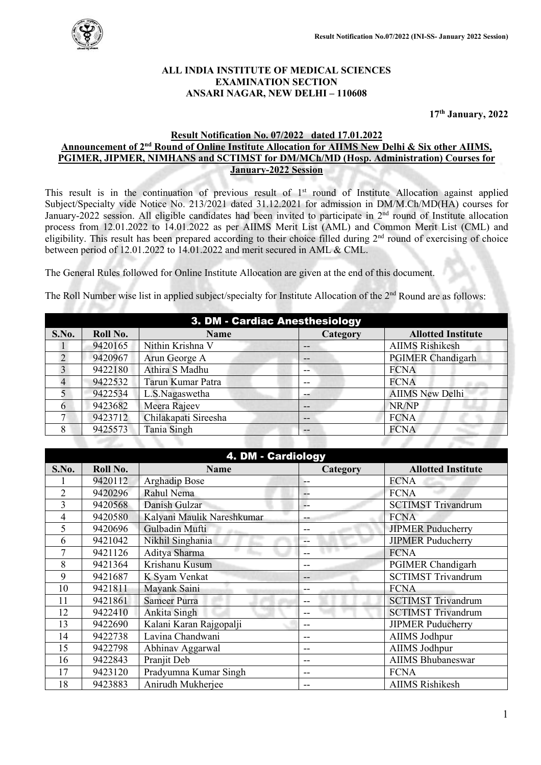

ボノハンノ

### **ALL INDIA INSTITUTE OF MEDICAL SCIENCES EXAMINATION SECTION ANSARI NAGAR, NEW DELHI – 110608**

**17th January, 2022**

### **Result Notification No. 07/2022 dated 17.01.2022 Announcement of 2nd Round of Online Institute Allocation for AIIMS New Delhi & Six other AIIMS, PGIMER, JIPMER, NIMHANS and SCTIMST for DM/MCh/MD (Hosp. Administration) Courses for January-2022 Session**

This result is in the continuation of previous result of 1<sup>st</sup> round of Institute Allocation against applied Subject/Specialty vide Notice No. 213/2021 dated 31.12.2021 for admission in DM/M.Ch/MD(HA) courses for January-2022 session. All eligible candidates had been invited to participate in 2<sup>nd</sup> round of Institute allocation process from 12.01.2022 to 14.01.2022 as per AIIMS Merit List (AML) and Common Merit List (CML) and eligibility. This result has been prepared according to their choice filled during 2<sup>nd</sup> round of exercising of choice between period of 12.01.2022 to 14.01.2022 and merit secured in AML & CML.

The General Rules followed for Online Institute Allocation are given at the end of this document.

The Roll Number wise list in applied subject/specialty for Institute Allocation of the  $2<sup>nd</sup>$  Round are as follows:

| 3. DM - Cardiac Anesthesiology |          |                      |                   |                           |
|--------------------------------|----------|----------------------|-------------------|---------------------------|
| S.No.                          | Roll No. | <b>Name</b>          | Category          | <b>Allotted Institute</b> |
|                                | 9420165  | Nithin Krishna V     | --                | <b>AIIMS Rishikesh</b>    |
|                                | 9420967  | Arun George A        | $\qquad \qquad -$ | <b>PGIMER Chandigarh</b>  |
|                                | 9422180  | Athira S Madhu       | --                | <b>FCNA</b>               |
|                                | 9422532  | Tarun Kumar Patra    | --                | <b>FCNA</b>               |
|                                | 9422534  | L.S.Nagaswetha       | $- -$             | <b>AIIMS New Delhi</b>    |
| h                              | 9423682  | Meera Rajeev         | $- -$             | NR/NP                     |
|                                | 9423712  | Chilakapati Sireesha | $- -$             | <b>FCNA</b>               |
| 8                              | 9425573  | Tania Singh          | $- -$             | <b>FCNA</b>               |

| 4. DM - Cardiology |          |                            |          |                           |  |
|--------------------|----------|----------------------------|----------|---------------------------|--|
| S.No.              | Roll No. | <b>Name</b>                | Category | <b>Allotted Institute</b> |  |
|                    | 9420112  | <b>Arghadip Bose</b>       | --       | <b>FCNA</b>               |  |
| $\overline{2}$     | 9420296  | Rahul Nema                 | --       | <b>FCNA</b>               |  |
| 3                  | 9420568  | Danish Gulzar              | --       | <b>SCTIMST Trivandrum</b> |  |
| 4                  | 9420580  | Kalyani Maulik Nareshkumar | --       | <b>FCNA</b>               |  |
| 5                  | 9420696  | Gulbadin Mufti             | --       | <b>JIPMER Puducherry</b>  |  |
| 6                  | 9421042  | Nikhil Singhania           | --       | <b>JIPMER Puducherry</b>  |  |
|                    | 9421126  | Aditya Sharma              |          | <b>FCNA</b>               |  |
| 8                  | 9421364  | Krishanu Kusum             | --       | <b>PGIMER Chandigarh</b>  |  |
| 9                  | 9421687  | K Syam Venkat              | --       | <b>SCTIMST Trivandrum</b> |  |
| 10                 | 9421811  | Mayank Saini               |          | <b>FCNA</b>               |  |
| 11                 | 9421861  | <b>Sameer Purra</b>        | --       | <b>SCTIMST Trivandrum</b> |  |
| 12                 | 9422410  | Ankita Singh               | --       | <b>SCTIMST Trivandrum</b> |  |
| 13                 | 9422690  | Kalani Karan Rajgopalji    | --       | <b>JIPMER Puducherry</b>  |  |
| 14                 | 9422738  | Lavina Chandwani           | --       | AIIMS Jodhpur             |  |
| 15                 | 9422798  | Abhinav Aggarwal           | --       | AIIMS Jodhpur             |  |
| 16                 | 9422843  | Pranjit Deb                | --       | <b>AIIMS Bhubaneswar</b>  |  |
| 17                 | 9423120  | Pradyumna Kumar Singh      | --       | <b>FCNA</b>               |  |
| 18                 | 9423883  | Anirudh Mukherjee          | --       | <b>AIIMS Rishikesh</b>    |  |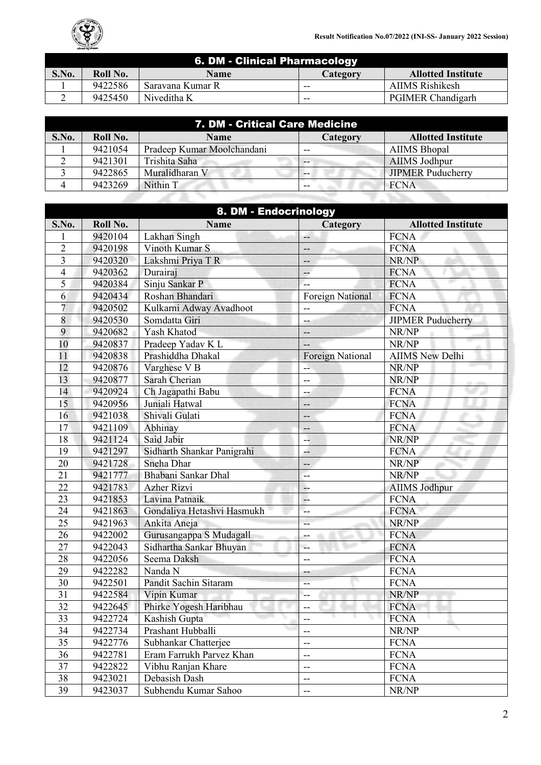

| 6. DM - Clinical Pharmacology |          |                  |          |                           |
|-------------------------------|----------|------------------|----------|---------------------------|
| S.No.                         | Roll No. | <b>Name</b>      | Category | <b>Allotted Institute</b> |
|                               | 9422586  | Saravana Kumar R | $-$      | <b>AIIMS Rishikesh</b>    |
|                               | 9425450  | Niveditha K      | $-$      | <b>PGIMER Chandigarh</b>  |

| 7. DM - Critical Care Medicine |          |                            |          |                           |
|--------------------------------|----------|----------------------------|----------|---------------------------|
| S.No.                          | Roll No. | <b>Name</b>                | Category | <b>Allotted Institute</b> |
|                                | 9421054  | Pradeep Kumar Moolchandani | $- -$    | <b>AIIMS</b> Bhopal       |
|                                | 9421301  | Trishita Saha              |          | <b>AIIMS Jodhpur</b>      |
|                                | 9422865  | Muralidharan V             |          | <b>JIPMER Puducherry</b>  |
|                                | 9423269  | Nithin T                   | --       | <b>FCNA</b>               |
|                                |          |                            |          |                           |

|                | 8. DM - Endocrinology |                            |                  |                           |  |
|----------------|-----------------------|----------------------------|------------------|---------------------------|--|
| S.No.          | Roll No.              | <b>Name</b>                | Category         | <b>Allotted Institute</b> |  |
| 1              | 9420104               | Lakhan Singh               | --               | <b>FCNA</b>               |  |
| $\overline{2}$ | 9420198               | Vinoth Kumar S             | --               | <b>FCNA</b>               |  |
| 3              | 9420320               | Lakshmi Priya T R          | --               | NR/NP                     |  |
| $\overline{4}$ | 9420362               | Durairaj                   | --               | <b>FCNA</b>               |  |
| 5              | 9420384               | Sinju Sankar P             | Ξ.               | <b>FCNA</b>               |  |
| 6              | 9420434               | Roshan Bhandari            | Foreign National | <b>FCNA</b>               |  |
| $\overline{7}$ | 9420502               | Kulkarni Adway Avadhoot    | $-$              | <b>FCNA</b>               |  |
| 8              | 9420530               | Somdatta Giri              |                  | <b>JIPMER Puducherry</b>  |  |
| 9              | 9420682               | Yash Khatod                | --               | NR/NP                     |  |
| 10             | 9420837               | Pradeep Yadav K L          | --               | NR/NP                     |  |
| 11             | 9420838               | Prashiddha Dhakal          | Foreign National | <b>AIIMS New Delhi</b>    |  |
| 12             | 9420876               | Varghese V B               | --               | NR/NP                     |  |
| 13             | 9420877               | Sarah Cherian              | --               | NR/NP                     |  |
| 14             | 9420924               | Ch Jagapathi Babu          | -5               | <b>FCNA</b>               |  |
| 15             | 9420956               | Juniali Hatwal             | --               | <b>FCNA</b>               |  |
| 16             | 9421038               | Shivali Gulati             | --               | <b>FCNA</b>               |  |
| 17             | 9421109               | Abhinay                    | --               | <b>FCNA</b>               |  |
| 18             | 9421124               | Said Jabir                 | --               | NR/NP                     |  |
| 19             | 9421297               | Sidharth Shankar Panigrahi | --               | <b>FCNA</b>               |  |
| 20             | 9421728               | Sneha Dhar                 | --               | NR/NP                     |  |
| 21             | 9421777               | Bhabani Sankar Dhal        | --               | NR/NP                     |  |
| 22             | 9421783               | <b>Azher Rizvi</b>         | --               | <b>AIIMS Jodhpur</b>      |  |
| 23             | 9421853               | Lavina Patnaik             | Ξ.               | <b>FCNA</b>               |  |
| 24             | 9421863               | Gondaliya Hetashvi Hasmukh | --               | <b>FCNA</b>               |  |
| 25             | 9421963               | Ankita Aneja               | --               | NR/NP                     |  |
| 26             | 9422002               | Gurusangappa S Mudagall    | --               | <b>FCNA</b>               |  |
| 27             | 9422043               | Sidhartha Sankar Bhuyan    | $-$              | <b>FCNA</b>               |  |
| 28             | 9422056               | Seema Daksh                | $-$              | <b>FCNA</b>               |  |
| 29             | 9422282               | Nanda N                    |                  | <b>FCNA</b>               |  |
| 30             | 9422501               | Pandit Sachin Sitaram      | --               | <b>FCNA</b>               |  |
| 31             | 9422584               | Vipin Kumar                | --               | NR/NP                     |  |
| 32             | 9422645               | Phirke Yogesh Haribhau     | --               | <b>FCNA</b>               |  |
| 33             | 9422724               | Kashish Gupta              | --               | <b>FCNA</b>               |  |
| 34             | 9422734               | Prashant Hubballi          | --               | NR/NP                     |  |
| 35             | 9422776               | Subhankar Chatterjee       | --               | <b>FCNA</b>               |  |
| 36             | 9422781               | Eram Farrukh Parvez Khan   | $-$              | <b>FCNA</b>               |  |
| 37             | 9422822               | Vibhu Ranjan Khare         | $-$              | <b>FCNA</b>               |  |
| 38             | 9423021               | Debasish Dash              | --               | <b>FCNA</b>               |  |
| 39             | 9423037               | Subhendu Kumar Sahoo       | --               | NR/NP                     |  |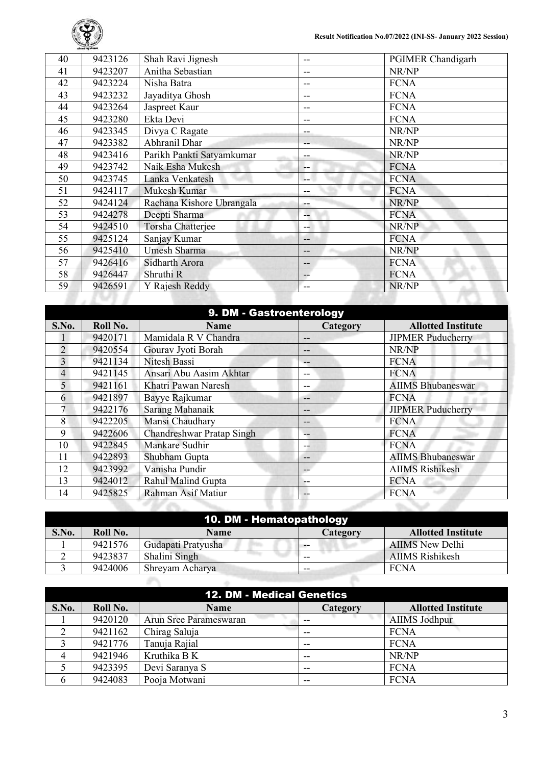

| 40 | 9423126 | Shah Ravi Jignesh         | --  | <b>PGIMER Chandigarh</b> |
|----|---------|---------------------------|-----|--------------------------|
| 41 | 9423207 | Anitha Sebastian          | --  | NR/NP                    |
| 42 | 9423224 | Nisha Batra               | --  | <b>FCNA</b>              |
| 43 | 9423232 | Jayaditya Ghosh           | --  | <b>FCNA</b>              |
| 44 | 9423264 | Jaspreet Kaur             | --  | <b>FCNA</b>              |
| 45 | 9423280 | Ekta Devi                 | --  | <b>FCNA</b>              |
| 46 | 9423345 | Divya C Ragate            |     | NR/NP                    |
| 47 | 9423382 | Abhranil Dhar             | --  | NR/NP                    |
| 48 | 9423416 | Parikh Pankti Satyamkumar | --  | NR/NP                    |
| 49 | 9423742 | Naik Esha Mukesh          | --  | <b>FCNA</b>              |
| 50 | 9423745 | Lanka Venkatesh           | --  | <b>FCNA</b>              |
| 51 | 9424117 | Mukesh Kumar              | --  | <b>FCNA</b>              |
| 52 | 9424124 | Rachana Kishore Ubrangala | --  | NR/NP                    |
| 53 | 9424278 | Deepti Sharma             | $-$ | <b>FCNA</b>              |
| 54 | 9424510 | <b>Torsha Chatterjee</b>  | --  | NR/NP                    |
| 55 | 9425124 | Sanjay Kumar              | --  | <b>FCNA</b>              |
| 56 | 9425410 | Umesh Sharma              | --  | NR/NP                    |
| 57 | 9426416 | Sidharth Arora            | $-$ | <b>FCNA</b>              |
| 58 | 9426447 | Shruthi R                 | --  | <b>FCNA</b>              |
| 59 | 9426591 | Y Rajesh Reddy            | --  | NR/NP                    |
|    |         |                           |     |                          |
|    |         |                           |     |                          |

| 9. DM - Gastroenterology |          |                                  |          |                           |
|--------------------------|----------|----------------------------------|----------|---------------------------|
| S.No.                    | Roll No. | <b>Name</b>                      | Category | <b>Allotted Institute</b> |
|                          | 9420171  | Mamidala R V Chandra             | --       | <b>JIPMER Puducherry</b>  |
| $\overline{2}$           | 9420554  | Gourav Jyoti Borah               | --       | NR/NP                     |
| 3                        | 9421134  | Nitesh Bassi                     | --       | <b>FCNA</b>               |
| $\overline{4}$           | 9421145  | Ansari Abu Aasim Akhtar          | --       | <b>FCNA</b>               |
| 5                        | 9421161  | Khatri Pawan Naresh              | --       | <b>AIIMS Bhubaneswar</b>  |
| 6                        | 9421897  | Bayye Rajkumar                   | --       | <b>FCNA</b>               |
|                          | 9422176  | Sarang Mahanaik                  | --       | <b>JIPMER Puducherry</b>  |
| 8                        | 9422205  | Mansi Chaudhary                  | --       | <b>FCNA</b>               |
| 9                        | 9422606  | <b>Chandreshwar Pratap Singh</b> | --       | <b>FCNA</b>               |
| 10                       | 9422845  | Mankare Sudhir                   | --       | <b>FCNA</b>               |
| 11                       | 9422893  | Shubham Gupta                    | --       | <b>AIIMS Bhubaneswar</b>  |
| 12                       | 9423992  | Vanisha Pundir                   | --       | <b>AIIMS Rishikesh</b>    |
| 13                       | 9424012  | Rahul Malind Gupta               |          | <b>FCNA</b>               |
| 14                       | 9425825  | Rahman Asif Matiur               | $- -$    | <b>FCNA</b>               |
|                          |          |                                  |          |                           |

|       | 10. DM - Hematopathology |                    |          |                           |  |  |
|-------|--------------------------|--------------------|----------|---------------------------|--|--|
| S.No. | Roll No.                 | Name               | Category | <b>Allotted Institute</b> |  |  |
|       | 9421576                  | Gudapati Pratyusha | --       | <b>AIIMS</b> New Delhi    |  |  |
|       | 9423837                  | Shalini Singh      | --       | <b>AIIMS</b> Rishikesh    |  |  |
|       | 9424006                  | Shreyam Acharya    | --       | <b>FCNA</b>               |  |  |
|       |                          |                    |          |                           |  |  |

| <b>12. DM - Medical Genetics</b> |          |                        |          |                           |  |
|----------------------------------|----------|------------------------|----------|---------------------------|--|
| S.No.                            | Roll No. | <b>Name</b>            | Category | <b>Allotted Institute</b> |  |
|                                  | 9420120  | Arun Sree Parameswaran | --       | <b>AIIMS Jodhpur</b>      |  |
|                                  | 9421162  | Chirag Saluja          | --       | <b>FCNA</b>               |  |
|                                  | 9421776  | Tanuja Rajial          | $- -$    | <b>FCNA</b>               |  |
|                                  | 9421946  | Kruthika B K           | $- -$    | NR/NP                     |  |
|                                  | 9423395  | Devi Saranya S         | $-$      | <b>FCNA</b>               |  |
| h                                | 9424083  | Pooja Motwani          | $-$      | <b>FCNA</b>               |  |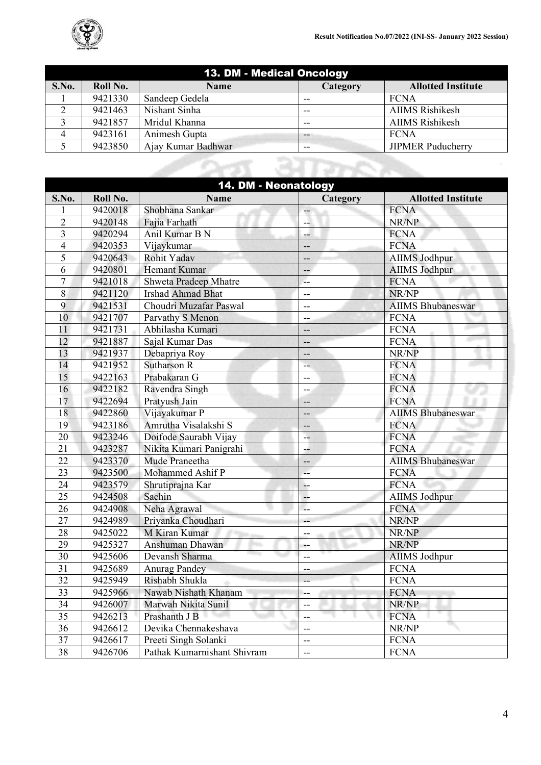| 13. DM - Medical Oncology |          |                    |                   |                           |
|---------------------------|----------|--------------------|-------------------|---------------------------|
| S.No.                     | Roll No. | <b>Name</b>        | Category          | <b>Allotted Institute</b> |
|                           | 9421330  | Sandeep Gedela     | --                | <b>FCNA</b>               |
| ◠                         | 9421463  | Nishant Sinha      | $- -$             | <b>AIIMS</b> Rishikesh    |
| $\mathbf{r}$              | 9421857  | Mridul Khanna      | $- -$             | <b>AIIMS</b> Rishikesh    |
|                           | 9423161  | Animesh Gupta      | $\qquad \qquad -$ | <b>FCNA</b>               |
|                           | 9423850  | Ajay Kumar Badhwar | $-$               | <b>JIPMER Puducherry</b>  |
|                           |          |                    |                   |                           |

| 14. DM - Neonatology    |          |                              |          |                           |
|-------------------------|----------|------------------------------|----------|---------------------------|
| S.No.                   | Roll No. | <b>Name</b>                  | Category | <b>Allotted Institute</b> |
|                         | 9420018  | Shobhana Sankar              | --       | <b>FCNA</b>               |
| $\overline{2}$          | 9420148  | Fajia Farhath                | --       | NR/NP                     |
| $\overline{\mathbf{3}}$ | 9420294  | Anil Kumar B N               | --       | <b>FCNA</b>               |
| $\overline{4}$          | 9420353  | Vijaykumar                   | --       | <b>FCNA</b>               |
| 5                       | 9420643  | <b>Rohit Yadav</b>           | --       | <b>AIIMS</b> Jodhpur      |
| 6                       | 9420801  | <b>Hemant Kumar</b>          | --       | AIIMS Jodhpur             |
| $\overline{7}$          | 9421018  | <b>Shweta Pradeep Mhatre</b> | $-$      | <b>FCNA</b>               |
| 8                       | 9421120  | <b>Irshad Ahmad Bhat</b>     | --       | NR/NP                     |
| 9                       | 9421531  | Choudri Muzafar Paswal       | $-$      | <b>AIIMS Bhubaneswar</b>  |
| 10                      | 9421707  | Parvathy S Menon             | --       | <b>FCNA</b>               |
| 11                      | 9421731  | Abhilasha Kumari             | --       | <b>FCNA</b>               |
| 12                      | 9421887  | Sajal Kumar Das              | --       | <b>FCNA</b>               |
| 13                      | 9421937  | Debapriya Roy                | --       | NR/NP                     |
| 14                      | 9421952  | <b>Sutharson R</b>           | --       | <b>FCNA</b>               |
| 15                      | 9422163  | Prabakaran G                 | --       | <b>FCNA</b>               |
| 16                      | 9422182  | Ravendra Singh               | --       | <b>FCNA</b>               |
| 17                      | 9422694  | Pratyush Jain                |          | <b>FCNA</b>               |
| 18                      | 9422860  | Vijayakumar P                | --       | <b>AIIMS Bhubaneswar</b>  |
| 19                      | 9423186  | Amrutha Visalakshi S         | --       | <b>FCNA</b>               |
| 20                      | 9423246  | Doifode Saurabh Vijay        | --       | <b>FCNA</b>               |
| 21                      | 9423287  | Nikita Kumari Panigrahi      | $-$      | <b>FCNA</b>               |
| 22                      | 9423370  | Mude Praneetha               | --       | <b>AIIMS Bhubaneswar</b>  |
| 23                      | 9423500  | Mohammed Ashif P             | 44       | <b>FCNA</b>               |
| 24                      | 9423579  | Shrutiprajna Kar             | --       | <b>FCNA</b>               |
| 25                      | 9424508  | Sachin                       | --       | AIIMS Jodhpur             |
| 26                      | 9424908  | Neha Agrawal                 | u.       | <b>FCNA</b>               |
| 27                      | 9424989  | Priyanka Choudhari           | $-$      | NR/NP                     |
| 28                      | 9425022  | M Kiran Kumar                | $-$      | NR/NP                     |
| 29                      | 9425327  | Anshuman Dhawan              | ÷÷       | NR/NP                     |
| 30                      | 9425606  | Devansh Sharma               | --       | <b>AIIMS Jodhpur</b>      |
| 31                      | 9425689  | <b>Anurag Pandey</b>         | ÷        | <b>FCNA</b>               |
| 32                      | 9425949  | Rishabh Shukla               |          | <b>FCNA</b>               |
| 33                      | 9425966  | Nawab Nishath Khanam         | --       | <b>FCNA</b>               |
| 34                      | 9426007  | Marwah Nikita Sunil          | --       | NR/NP                     |
| 35                      | 9426213  | Prashanth J B                | --       | <b>FCNA</b>               |
| 36                      | 9426612  | Devika Chennakeshava         | --       | NR/NP                     |
| 37                      | 9426617  | Preeti Singh Solanki         | $-$      | <b>FCNA</b>               |
| 38                      | 9426706  | Pathak Kumarnishant Shivram  | --       | <b>FCNA</b>               |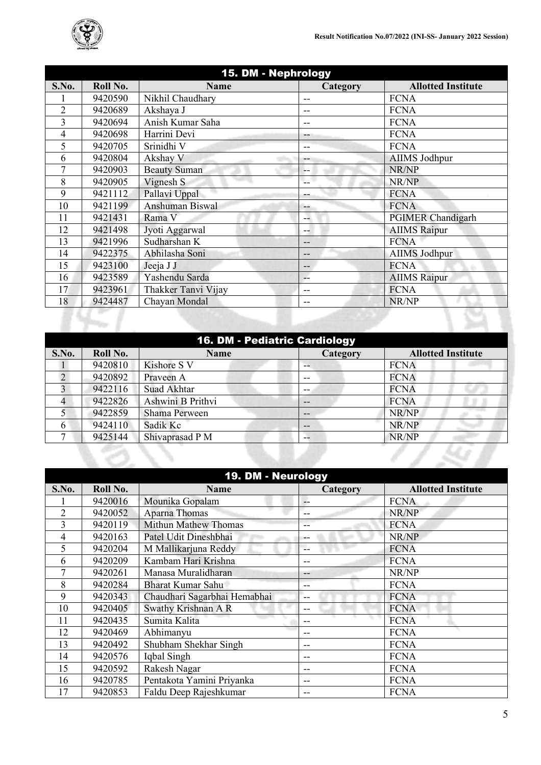

| 15. DM - Nephrology |          |                     |          |                           |
|---------------------|----------|---------------------|----------|---------------------------|
| S.No.               | Roll No. | <b>Name</b>         | Category | <b>Allotted Institute</b> |
|                     | 9420590  | Nikhil Chaudhary    | --       | <b>FCNA</b>               |
| $\overline{2}$      | 9420689  | Akshaya J           | --       | <b>FCNA</b>               |
| 3                   | 9420694  | Anish Kumar Saha    |          | <b>FCNA</b>               |
| 4                   | 9420698  | Harrini Devi        | --       | <b>FCNA</b>               |
| 5                   | 9420705  | Srinidhi V          | --       | <b>FCNA</b>               |
| 6                   | 9420804  | Akshay V            |          | <b>AIIMS Jodhpur</b>      |
| 7                   | 9420903  | <b>Beauty Suman</b> | --       | NR/NP                     |
| 8                   | 9420905  | Vignesh S           |          | NR/NP                     |
| 9                   | 9421112  | Pallavi Uppal       |          | <b>FCNA</b>               |
| 10                  | 9421199  | Anshuman Biswal     | --       | <b>FCNA</b>               |
| 11                  | 9421431  | Rama V              |          | <b>PGIMER Chandigarh</b>  |
| 12                  | 9421498  | Jyoti Aggarwal      | --       | <b>AIIMS</b> Raipur       |
| 13                  | 9421996  | Sudharshan K        | --       | <b>FCNA</b>               |
| 14                  | 9422375  | Abhilasha Soni      | --       | AIIMS Jodhpur             |
| 15                  | 9423100  | Jeeja J J           | --       | <b>FCNA</b>               |
| 16                  | 9423589  | Yashendu Sarda      | --       | <b>AIIMS</b> Raipur       |
| 17                  | 9423961  | Thakker Tanvi Vijay |          | <b>FCNA</b>               |
| 18                  | 9424487  | Chayan Mondal       | --       | NR/NP                     |

|               |          |                   | 16. DM - Pediatric Cardiology |                           |
|---------------|----------|-------------------|-------------------------------|---------------------------|
| S.No.         | Roll No. | <b>Name</b>       | <b>Category</b>               | <b>Allotted Institute</b> |
|               | 9420810  | Kishore S V       | --                            | <b>FCNA</b>               |
| $\mathcal{D}$ | 9420892  | Praveen A         | $- -$                         | <b>FCNA</b>               |
| 3             | 9422116  | Suad Akhtar       | --                            | <b>FCNA</b>               |
|               | 9422826  | Ashwini B Prithvi | $- -$                         | <b>FCNA</b>               |
|               | 9422859  | Shama Perween     | --                            | NR/NP                     |
| 6             | 9424110  | Sadik Kc          | $- -$                         | NR/NP                     |
|               | 9425144  | Shivaprasad P M   | $- -$                         | NR/NP                     |
|               |          |                   |                               |                           |

|                | 19. DM - Neurology |                              |          |                           |  |  |  |
|----------------|--------------------|------------------------------|----------|---------------------------|--|--|--|
| S.No.          | Roll No.           | <b>Name</b>                  | Category | <b>Allotted Institute</b> |  |  |  |
|                | 9420016            | Mounika Gopalam              | --       | <b>FCNA</b>               |  |  |  |
| $\overline{2}$ | 9420052            | Aparna Thomas                | --       | NR/NP                     |  |  |  |
| 3              | 9420119            | <b>Mithun Mathew Thomas</b>  | --       | <b>FCNA</b>               |  |  |  |
| 4              | 9420163            | Patel Udit Dineshbhai        | --       | NR/NP                     |  |  |  |
| 5              | 9420204            | M Mallikarjuna Reddy         | --       | <b>FCNA</b>               |  |  |  |
| 6              | 9420209            | Kambam Hari Krishna          | --       | <b>FCNA</b>               |  |  |  |
|                | 9420261            | Manasa Muralidharan          | --       | NR/NP                     |  |  |  |
| 8              | 9420284            | Bharat Kumar Sahu            | --       | <b>FCNA</b>               |  |  |  |
| 9              | 9420343            | Chaudhari Sagarbhai Hemabhai | --       | <b>FCNA</b>               |  |  |  |
| 10             | 9420405            | Swathy Krishnan A R          | --       | <b>FCNA</b>               |  |  |  |
| 11             | 9420435            | Sumita Kalita                | --       | <b>FCNA</b>               |  |  |  |
| 12             | 9420469            | Abhimanyu                    | --       | <b>FCNA</b>               |  |  |  |
| 13             | 9420492            | Shubham Shekhar Singh        | --       | <b>FCNA</b>               |  |  |  |
| 14             | 9420576            | Iqbal Singh                  | --       | <b>FCNA</b>               |  |  |  |
| 15             | 9420592            | Rakesh Nagar                 | --       | <b>FCNA</b>               |  |  |  |
| 16             | 9420785            | Pentakota Yamini Priyanka    | --       | <b>FCNA</b>               |  |  |  |
| 17             | 9420853            | Faldu Deep Rajeshkumar       | --       | <b>FCNA</b>               |  |  |  |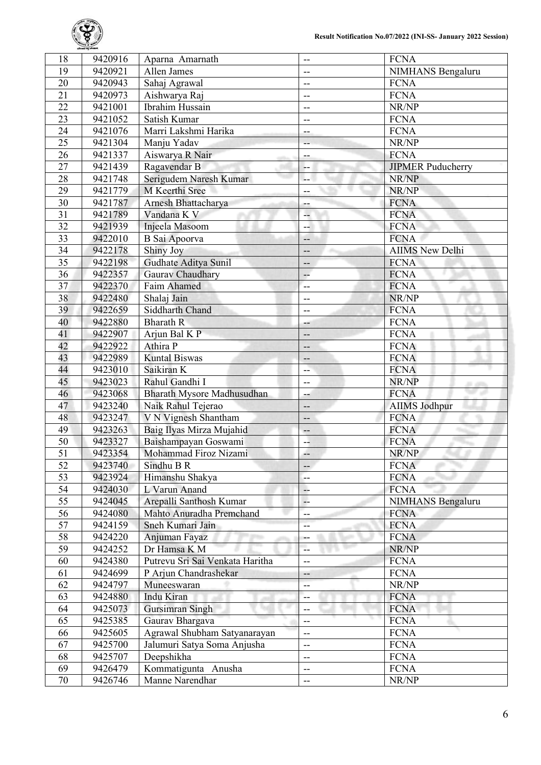

| 18              | 9420916 | Aparna Amarnath                 | --                       | <b>FCNA</b>              |
|-----------------|---------|---------------------------------|--------------------------|--------------------------|
| 19              | 9420921 | Allen James                     | --                       | NIMHANS Bengaluru        |
| 20              | 9420943 | Sahaj Agrawal                   | --                       | <b>FCNA</b>              |
| $\overline{21}$ | 9420973 | Aishwarya Raj                   | $-$                      | <b>FCNA</b>              |
| 22              | 9421001 | Ibrahim Hussain                 | --                       | NR/NP                    |
| 23              | 9421052 | Satish Kumar                    | --                       | <b>FCNA</b>              |
| 24              | 9421076 | Marri Lakshmi Harika            | --                       | <b>FCNA</b>              |
| $\overline{25}$ | 9421304 | Manju Yadav                     |                          | NR/NP                    |
| 26              | 9421337 | Aiswarya R Nair                 | --                       | <b>FCNA</b>              |
| 27              | 9421439 | Ragavendar B                    | --                       | <b>JIPMER Puducherry</b> |
| 28              | 9421748 | Serigudem Naresh Kumar          | ц.                       | NR/NP                    |
| 29              | 9421779 | M Keerthi Sree                  | --                       | NR/NP                    |
| 30              | 9421787 | Arnesh Bhattacharya             | ÷                        | <b>FCNA</b>              |
| 31              | 9421789 | Vandana K V                     | --                       | <b>FCNA</b>              |
| 32              | 9421939 | Injeela Masoom                  | --                       | <b>FCNA</b>              |
| 33              | 9422010 | <b>B</b> Sai Apoorva            | $- -$                    | <b>FCNA</b>              |
| 34              | 9422178 | Shiny Joy                       | --                       | <b>AIIMS</b> New Delhi   |
| 35              | 9422198 | Gudhate Aditya Sunil            | $-$                      | <b>FCNA</b>              |
| 36              | 9422357 | Gaurav Chaudhary                | $\overline{\mathbf{r}}$  | <b>FCNA</b>              |
| 37              | 9422370 | Faim Ahamed                     | $\overline{a}$           | <b>FCNA</b>              |
| 38              | 9422480 | Shalaj Jain                     | --                       | NR/NP                    |
| 39              | 9422659 | Siddharth Chand                 | --                       | <b>FCNA</b>              |
| 40              | 9422880 | <b>Bharath R</b>                | --                       | <b>FCNA</b>              |
| 41              | 9422907 | Arjun Bal K P                   | --                       | <b>FCNA</b>              |
| 42              | 9422922 | Athira P                        | --                       | <b>FCNA</b>              |
| 43              | 9422989 | <b>Kuntal Biswas</b>            |                          | <b>FCNA</b>              |
| 44              | 9423010 | Saikiran K                      | --                       | <b>FCNA</b>              |
| 45              | 9423023 | Rahul Gandhi I                  | --                       |                          |
| 46              |         |                                 | $-$                      | NR/NP                    |
|                 | 9423068 | Bharath Mysore Madhusudhan      | --                       | <b>FCNA</b>              |
| 47              | 9423240 | Naik Rahul Tejerao              | --                       | <b>AIIMS Jodhpur</b>     |
| 48              | 9423247 | V N Vignesh Shantham            | --                       | <b>FCNA</b>              |
| 49              | 9423263 | Baig Ilyas Mirza Mujahid        | --                       | <b>FCNA</b>              |
| 50              | 9423327 | Baishampayan Goswami            | --                       | <b>FCNA</b>              |
| $\overline{51}$ | 9423354 | Mohammad Firoz Nizami           | d.                       | NR/NP                    |
| 52              | 9423740 | Sindhu B R                      | --                       | <b>FCNA</b>              |
| 53              | 9423924 | Himanshu Shakya                 | --                       | <b>FCNA</b>              |
| 54              | 9424030 | L Varun Anand                   | --                       | <b>FCNA</b>              |
| 55              | 9424045 | Arepalli Santhosh Kumar         | μ.                       | <b>NIMHANS Bengaluru</b> |
| 56              | 9424080 | Mahto Anuradha Premchand        | --                       | <b>FCNA</b>              |
| 57              | 9424159 | Sneh Kumari Jain                | --                       | <b>FCNA</b>              |
| 58              | 9424220 | Anjuman Fayaz                   | --                       | <b>FCNA</b>              |
| 59              | 9424252 | Dr Hamsa K M                    | --                       | NR/NP                    |
| 60              | 9424380 | Putrevu Sri Sai Venkata Haritha | --                       | <b>FCNA</b>              |
| 61              | 9424699 | P Arjun Chandrashekar           | --                       | <b>FCNA</b>              |
| 62              | 9424797 | Muneeswaran                     | --                       | NR/NP                    |
| 63              | 9424880 | Indu Kiran                      | --                       | <b>FCNA</b>              |
| 64              | 9425073 | Gursimran Singh                 | --                       | <b>FCNA</b>              |
| 65              | 9425385 | Gaurav Bhargava                 | --                       | <b>FCNA</b>              |
| 66              | 9425605 | Agrawal Shubham Satyanarayan    | --                       | <b>FCNA</b>              |
| 67              | 9425700 | Jalumuri Satya Soma Anjusha     | $-$                      | <b>FCNA</b>              |
| 68              | 9425707 | Deepshikha                      | $\overline{\phantom{a}}$ | <b>FCNA</b>              |
| 69              | 9426479 | Kommatigunta Anusha             | --                       | <b>FCNA</b>              |
| 70              | 9426746 | Manne Narendhar                 | --                       | NR/NP                    |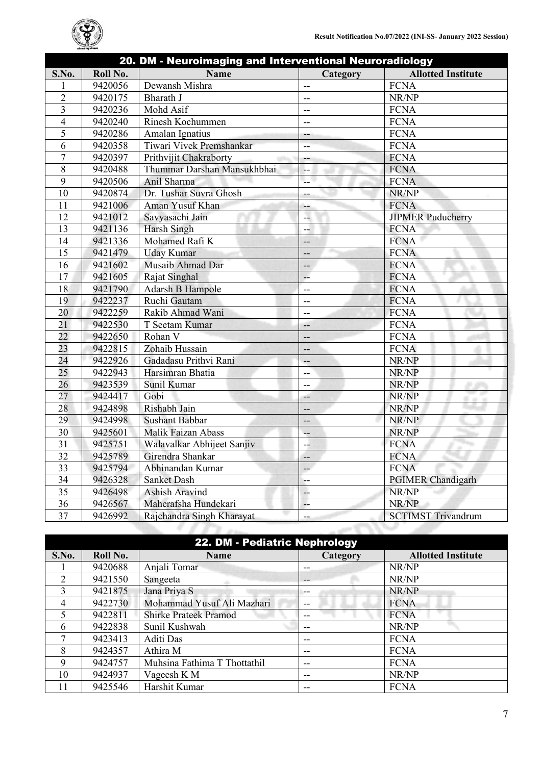

|                |          |                             | 20. DM - Neuroimaging and Interventional Neuroradiology |                           |  |
|----------------|----------|-----------------------------|---------------------------------------------------------|---------------------------|--|
| S.No.          | Roll No. | <b>Name</b>                 | Category                                                | <b>Allotted Institute</b> |  |
| 1              | 9420056  | Dewansh Mishra              | --                                                      | <b>FCNA</b>               |  |
| $\overline{2}$ | 9420175  | Bharath J                   | --                                                      | NR/NP                     |  |
| 3              | 9420236  | Mohd Asif                   | --                                                      | <b>FCNA</b>               |  |
| $\overline{4}$ | 9420240  | Rinesh Kochummen            | $-$                                                     | <b>FCNA</b>               |  |
| 5              | 9420286  | Amalan Ignatius             | --                                                      | <b>FCNA</b>               |  |
| 6              | 9420358  | Tiwari Vivek Premshankar    | --                                                      | <b>FCNA</b>               |  |
| $\overline{7}$ | 9420397  | Prithvijit Chakraborty      | --                                                      | <b>FCNA</b>               |  |
| $\overline{8}$ | 9420488  | Thummar Darshan Mansukhbhai | --                                                      | <b>FCNA</b>               |  |
| 9              | 9420506  | Anil Sharma                 | $\sim$                                                  | <b>FCNA</b>               |  |
| 10             | 9420874  | Dr. Tushar Suvra Ghosh      | --                                                      | NR/NP                     |  |
| 11             | 9421006  | Aman Yusuf Khan             | --                                                      | <b>FCNA</b>               |  |
| 12             | 9421012  | Savyasachi Jain             | ц.                                                      | <b>JIPMER Puducherry</b>  |  |
| 13             | 9421136  | Harsh Singh                 | --                                                      | <b>FCNA</b>               |  |
| 14             | 9421336  | Mohamed Rafi K              | --                                                      | <b>FCNA</b>               |  |
| 15             | 9421479  | <b>Uday Kumar</b>           | --                                                      | <b>FCNA</b>               |  |
| 16             | 9421602  | Musaib Ahmad Dar            | --                                                      | <b>FCNA</b>               |  |
| 17             | 9421605  | Rajat Singhal               | 44                                                      | <b>FCNA</b>               |  |
| 18             | 9421790  | Adarsh B Hampole            | --                                                      | <b>FCNA</b>               |  |
| 19             | 9422237  | Ruchi Gautam                | --                                                      | <b>FCNA</b>               |  |
| 20             | 9422259  | Rakib Ahmad Wani            | $-$                                                     | <b>FCNA</b>               |  |
| 21             | 9422530  | T Seetam Kumar              | --                                                      | <b>FCNA</b>               |  |
| 22             | 9422650  | Rohan V                     | --                                                      | <b>FCNA</b>               |  |
| 23             | 9422815  | Zohaib Hussain              | --                                                      | <b>FCNA</b>               |  |
| 24             | 9422926  | Gadadasu Prithvi Rani       | --                                                      | NR/NP                     |  |
| 25             | 9422943  | Harsimran Bhatia            | $-$                                                     | NR/NP                     |  |
| 26             | 9423539  | Sunil Kumar                 | --                                                      | NR/NP                     |  |
| 27             | 9424417  | Gobi                        | --                                                      | NR/NP                     |  |
| 28             | 9424898  | Rishabh Jain                | --                                                      | NR/NP                     |  |
| 29             | 9424998  | <b>Sushant Babbar</b>       | --                                                      | NR/NP                     |  |
| 30             | 9425601  | Malik Faizan Abass          | $--$                                                    | NR/NP                     |  |
| 31             | 9425751  | Walavalkar Abhijeet Sanjiv  | --                                                      | <b>FCNA</b>               |  |
| 32             | 9425789  | Girendra Shankar            | --                                                      | <b>FCNA</b>               |  |
| 33             | 9425794  | Abhinandan Kumar            | --                                                      | <b>FCNA</b>               |  |
| 34             | 9426328  | Sanket Dash                 | --                                                      | <b>PGIMER Chandigarh</b>  |  |
| 35             | 9426498  | Ashish Aravind              | --                                                      | NR/NP                     |  |
| 36             | 9426567  | Maherafsha Hundekari        | μ.                                                      | NR/NP                     |  |
| 37             | 9426992  | Rajchandra Singh Kharayat   | --                                                      | <b>SCTIMST Trivandrum</b> |  |
|                |          |                             |                                                         |                           |  |

| 22. DM - Pediatric Nephrology |          |                              |          |                           |
|-------------------------------|----------|------------------------------|----------|---------------------------|
| S.No.                         | Roll No. | <b>Name</b>                  | Category | <b>Allotted Institute</b> |
|                               | 9420688  | Anjali Tomar                 | --       | NR/NP                     |
| $\mathfrak{D}$                | 9421550  | Sangeeta                     | --       | NR/NP                     |
| 3                             | 9421875  | Jana Priya S                 | --       | NR/NP                     |
| 4                             | 9422730  | Mohammad Yusuf Ali Mazhari   | --       | <b>FCNA</b>               |
|                               | 9422811  | <b>Shirke Prateek Pramod</b> | --       | <b>FCNA</b>               |
| 6                             | 9422838  | Sunil Kushwah                | --       | NR/NP                     |
| ┑                             | 9423413  | Aditi Das                    | --       | <b>FCNA</b>               |
| 8                             | 9424357  | Athira M                     | --       | <b>FCNA</b>               |
| 9                             | 9424757  | Muhsina Fathima T Thottathil | --       | <b>FCNA</b>               |
| 10                            | 9424937  | Vageesh K M                  | --       | NR/NP                     |
| 11                            | 9425546  | Harshit Kumar                | --       | <b>FCNA</b>               |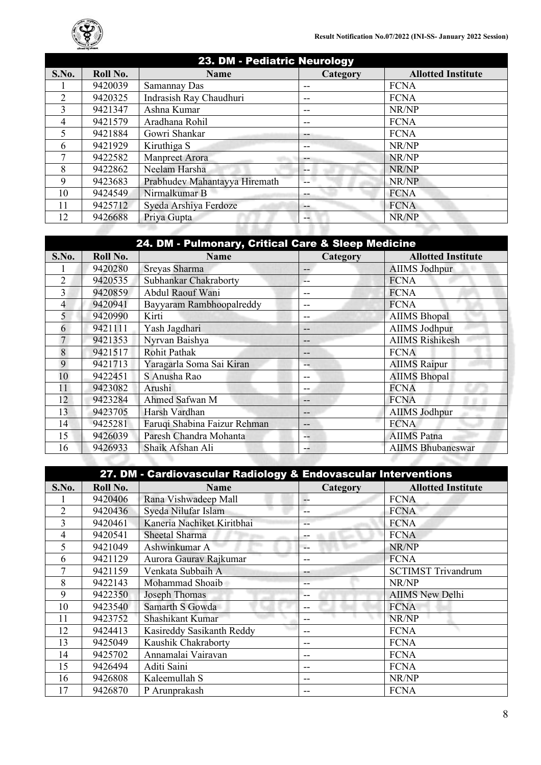

| S.No.                       | Roll No. | <b>Name</b>                   | Category       | <b>Allotted Institute</b> |
|-----------------------------|----------|-------------------------------|----------------|---------------------------|
|                             | 9420039  | Samannay Das                  | --             | <b>FCNA</b>               |
| $\mathcal{D}_{\mathcal{L}}$ | 9420325  | Indrasish Ray Chaudhuri       | --             | <b>FCNA</b>               |
| 3                           | 9421347  | Ashna Kumar                   | --             | NR/NP                     |
| 4                           | 9421579  | Aradhana Rohil                | --             | <b>FCNA</b>               |
|                             | 9421884  | Gowri Shankar                 | --             | <b>FCNA</b>               |
| 6                           | 9421929  | Kiruthiga S                   | --             | NR/NP                     |
| 7                           | 9422582  | <b>Manpreet Arora</b>         |                | NR/NP                     |
| 8                           | 9422862  | Neelam Harsha                 | --             | NR/NP                     |
| 9                           | 9423683  | Prabhudev Mahantayya Hiremath | $\overline{a}$ | NR/NP                     |
| 10                          | 9424549  | Nirmalkumar B                 | --             | <b>FCNA</b>               |
| 11                          | 9425712  | Syeda Arshiya Ferdoze         | --             | <b>FCNA</b>               |
| 12                          | 9426688  | Priya Gupta                   | --             | NR/NP                     |

| 24. DM - Pulmonary, Critical Care & Sleep Medicine |          |                              |                 |                           |
|----------------------------------------------------|----------|------------------------------|-----------------|---------------------------|
| S.No.                                              | Roll No. | <b>Name</b>                  | <b>Category</b> | <b>Allotted Institute</b> |
|                                                    | 9420280  | Sreyas Sharma                | --              | <b>AIIMS</b> Jodhpur      |
| $\overline{2}$                                     | 9420535  | Subhankar Chakraborty        |                 | <b>FCNA</b>               |
| 3                                                  | 9420859  | Abdul Raouf Wani             |                 | <b>FCNA</b>               |
| 4                                                  | 9420941  | Bayyaram Rambhoopalreddy     | --              | <b>FCNA</b>               |
| 5                                                  | 9420990  | Kirti                        | --              | <b>AIIMS</b> Bhopal       |
| 6                                                  | 9421111  | Yash Jagdhari                | --              | <b>AIIMS Jodhpur</b>      |
| 7                                                  | 9421353  | Nyrvan Baishya               | --              | <b>AIIMS Rishikesh</b>    |
| 8                                                  | 9421517  | <b>Rohit Pathak</b>          |                 | <b>FCNA</b>               |
| 9                                                  | 9421713  | Yaragarla Soma Sai Kiran     |                 | <b>AIIMS</b> Raipur       |
| 10                                                 | 9422451  | S Anusha Rao                 | --              | <b>AIIMS</b> Bhopal       |
| 11                                                 | 9423082  | Arushi                       | --              | <b>FCNA</b>               |
| 12                                                 | 9423284  | Ahmed Safwan M               | --              | <b>FCNA</b>               |
| 13                                                 | 9423705  | Harsh Vardhan                | --              | <b>AIIMS Jodhpur</b>      |
| 14                                                 | 9425281  | Faruqi Shabina Faizur Rehman | --              | <b>FCNA</b>               |
| 15                                                 | 9426039  | Paresh Chandra Mohanta       |                 | <b>AIIMS</b> Patna        |
| 16                                                 | 9426933  | Shaik Afshan Ali             | --              | <b>AIIMS Bhubaneswar</b>  |
|                                                    |          |                              |                 |                           |

|       | 27. DM - Cardiovascular Radiology & Endovascular Interventions |                            |          |                           |  |  |
|-------|----------------------------------------------------------------|----------------------------|----------|---------------------------|--|--|
| S.No. | Roll No.                                                       | <b>Name</b>                | Category | <b>Allotted Institute</b> |  |  |
|       | 9420406                                                        | Rana Vishwadeep Mall       | $-$      | <b>FCNA</b>               |  |  |
| 2     | 9420436                                                        | Syeda Nilufar Islam        | --       | <b>FCNA</b>               |  |  |
| 3     | 9420461                                                        | Kaneria Nachiket Kiritbhai | --       | <b>FCNA</b>               |  |  |
| 4     | 9420541                                                        | Sheetal Sharma             | --       | <b>FCNA</b>               |  |  |
| 5     | 9421049                                                        | Ashwinkumar A              | $-$      | NR/NP                     |  |  |
| 6     | 9421129                                                        | Aurora Gaurav Rajkumar     | --       | <b>FCNA</b>               |  |  |
|       | 9421159                                                        | Venkata Subbaih A          | --       | <b>SCTIMST Trivandrum</b> |  |  |
| 8     | 9422143                                                        | Mohammad Shoaib            | --       | NR/NP                     |  |  |
| 9     | 9422350                                                        | Joseph Thomas              | --       | <b>AIIMS New Delhi</b>    |  |  |
| 10    | 9423540                                                        | Samarth S Gowda            | --       | <b>FCNA</b>               |  |  |
| 11    | 9423752                                                        | Shashikant Kumar           | --       | NR/NP                     |  |  |
| 12    | 9424413                                                        | Kasireddy Sasikanth Reddy  | --       | <b>FCNA</b>               |  |  |
| 13    | 9425049                                                        | Kaushik Chakraborty        | --       | <b>FCNA</b>               |  |  |
| 14    | 9425702                                                        | Annamalai Vairavan         | --       | <b>FCNA</b>               |  |  |
| 15    | 9426494                                                        | Aditi Saini                | --       | <b>FCNA</b>               |  |  |
| 16    | 9426808                                                        | Kaleemullah S              | --       | NR/NP                     |  |  |
| 17    | 9426870                                                        | P Arunprakash              | --       | <b>FCNA</b>               |  |  |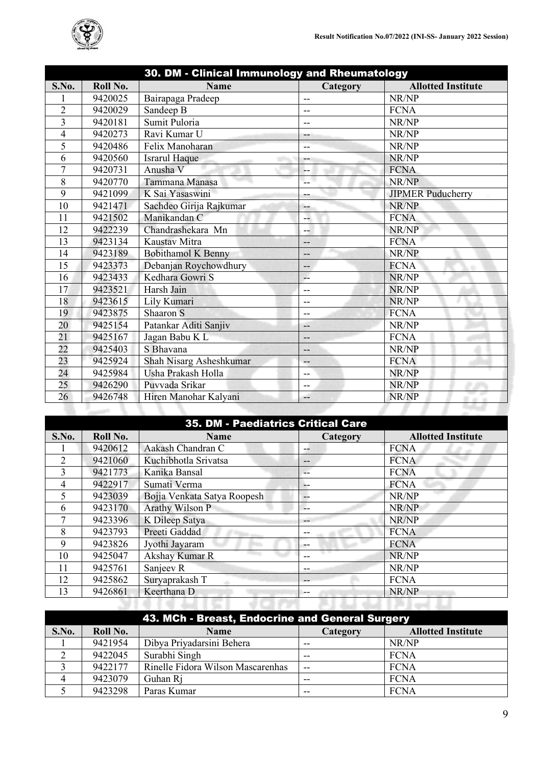

| 30. DM - Clinical Immunology and Rheumatology |          |                         |          |                           |
|-----------------------------------------------|----------|-------------------------|----------|---------------------------|
| S.No.                                         | Roll No. | <b>Name</b>             | Category | <b>Allotted Institute</b> |
|                                               | 9420025  | Bairapaga Pradeep       | $-$      | NR/NP                     |
| $\overline{2}$                                | 9420029  | Sandeep B               | --       | <b>FCNA</b>               |
| $\overline{3}$                                | 9420181  | Sumit Puloria           | --       | NR/NP                     |
| 4                                             | 9420273  | Ravi Kumar U            | --       | NR/NP                     |
| 5                                             | 9420486  | Felix Manoharan         | $-$      | NR/NP                     |
| 6                                             | 9420560  | <b>Israrul Haque</b>    | --       | NR/NP                     |
| 7                                             | 9420731  | Anusha V                | --       | <b>FCNA</b>               |
| 8                                             | 9420770  | Tammana Manasa          | L.       | NR/NP                     |
| 9                                             | 9421099  | K Sai Yasaswini         | --       | <b>JIPMER Puducherry</b>  |
| 10                                            | 9421471  | Sachdeo Girija Rajkumar | $-$      | NR/NP                     |
| 11                                            | 9421502  | Manikandan C            | Ц.       | <b>FCNA</b>               |
| 12                                            | 9422239  | Chandrashekara Mn       | --       | NR/NP                     |
| 13                                            | 9423134  | Kaustav Mitra           | --       | <b>FCNA</b>               |
| 14                                            | 9423189  | Bobithamol K Benny      | $-$      | NR/NP                     |
| 15                                            | 9423373  | Debanjan Roychowdhury   | --       | <b>FCNA</b>               |
| 16                                            | 9423433  | Kedhara Gowri S         | -−       | NR/NP                     |
| 17                                            | 9423521  | Harsh Jain              | --       | NR/NP                     |
| 18                                            | 9423615  | Lily Kumari             | --       | NR/NP                     |
| 19                                            | 9423875  | Shaaron S               | $-$      | <b>FCNA</b>               |
| 20                                            | 9425154  | Patankar Aditi Sanjiv   | --       | NR/NP                     |
| 21                                            | 9425167  | Jagan Babu K L          | --       | <b>FCNA</b>               |
| 22                                            | 9425403  | S Bhavana               | --       | NR/NP                     |
| 23                                            | 9425924  | Shah Nisarg Asheshkumar | $--$     | <b>FCNA</b>               |
| 24                                            | 9425984  | Usha Prakash Holla      | --       | NR/NP                     |
| 25                                            | 9426290  | Puvvada Srikar          | --       | NR/NP                     |
| 26                                            | 9426748  | Hiren Manohar Kalyani   | --       | NR/NP<br>dill.            |
|                                               |          |                         |          |                           |

| S.No.                       | Roll No. | <b>35. DM - Paediatrics Critical Care</b><br><b>Name</b> | Category | <b>Allotted Institute</b> |
|-----------------------------|----------|----------------------------------------------------------|----------|---------------------------|
|                             | 9420612  | Aakash Chandran C                                        | --       | <b>FCNA</b>               |
| $\mathcal{D}_{\mathcal{L}}$ | 9421060  | Kuchibhotla Srivatsa                                     | --       | <b>FCNA</b>               |
| 3                           | 9421773  | Kanika Bansal                                            | --       | <b>FCNA</b>               |
| 4                           | 9422917  | Sumati Verma                                             | --       | <b>FCNA</b>               |
| 5                           | 9423039  | Bojja Venkata Satya Roopesh                              | --       | NR/NP                     |
| 6                           | 9423170  | Arathy Wilson P                                          | $- -$    | NR/NP                     |
|                             | 9423396  | K Dileep Satya                                           | --       | NR/NP                     |
| 8                           | 9423793  | Preeti Gaddad                                            | --       | <b>FCNA</b>               |
| 9                           | 9423826  | Jyothi Jayaram                                           | --       | <b>FCNA</b>               |
| 10                          | 9425047  | Akshay Kumar R                                           | --       | NR/NP                     |
| 11                          | 9425761  | Sanjeev R                                                | --       | NR/NP                     |
| 12                          | 9425862  | Suryaprakash T                                           | --       | <b>FCNA</b>               |
| 13                          | 9426861  | Keerthana D                                              | $- -$    | NR/NP                     |

| 43. MCh - Breast, Endocrine and General Surgery |          |                                   |          |                           |  |
|-------------------------------------------------|----------|-----------------------------------|----------|---------------------------|--|
| S.No.                                           | Roll No. | <b>Name</b>                       | Category | <b>Allotted Institute</b> |  |
|                                                 | 9421954  | Dibya Priyadarsini Behera         | $-$      | NR/NP                     |  |
|                                                 | 9422045  | Surabhi Singh                     | $- -$    | FCNA                      |  |
|                                                 | 9422177  | Rinelle Fidora Wilson Mascarenhas | $-$      | <b>FCNA</b>               |  |
|                                                 | 9423079  | Guhan Ri                          | $- -$    | <b>FCNA</b>               |  |
|                                                 | 9423298  | Paras Kumar                       | --       | <b>FCNA</b>               |  |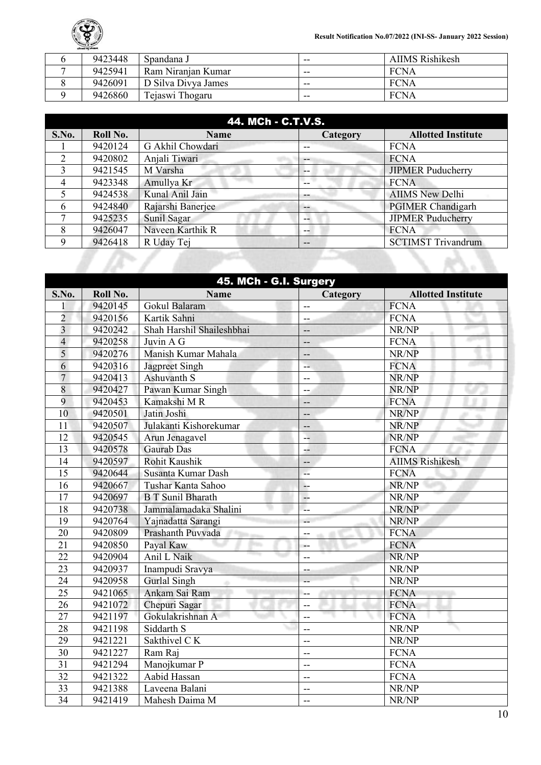

| 9423448 | Spandana J          | $- -$ | AIIMS Rishikesh |
|---------|---------------------|-------|-----------------|
| 9425941 | Ram Niranjan Kumar  | $- -$ | <b>FCNA</b>     |
| 9426091 | D Silva Divya James | $- -$ | FCNA            |
| 9426860 | Tejaswi Thogaru     | $- -$ | FCNA            |

| 44. MCh - C.T.V.S. |          |                   |                   |                           |
|--------------------|----------|-------------------|-------------------|---------------------------|
| S.No.              | Roll No. | <b>Name</b>       | <b>Category</b>   | <b>Allotted Institute</b> |
|                    | 9420124  | G Akhil Chowdari  | --                | <b>FCNA</b>               |
| $\mathcal{D}$      | 9420802  | Anjali Tiwari     | $\qquad \qquad -$ | <b>FCNA</b>               |
| 3                  | 9421545  | M Varsha          | --                | <b>JIPMER Puducherry</b>  |
| 4                  | 9423348  | Amullya Kr        |                   | <b>FCNA</b>               |
|                    | 9424538  | Kunal Anil Jain   | --                | <b>AIIMS</b> New Delhi    |
| h                  | 9424840  | Rajarshi Banerjee | $-$               | <b>PGIMER Chandigarh</b>  |
|                    | 9425235  | Sunil Sagar       | --                | <b>JIPMER Puducherry</b>  |
| 8                  | 9426047  | Naveen Karthik R  | --                | <b>FCNA</b>               |
| 9                  | 9426418  | R Uday Tej        | --                | <b>SCTIMST Trivandrum</b> |

|                         | 45. MCh - G.I. Surgery |                           |                          |                           |  |
|-------------------------|------------------------|---------------------------|--------------------------|---------------------------|--|
| S.No.                   | Roll No.               | <b>Name</b>               | Category                 | <b>Allotted Institute</b> |  |
| 1                       | 9420145                | Gokul Balaram             | --                       | <b>FCNA</b>               |  |
| $\overline{2}$          | 9420156                | Kartik Sahni              | --                       | <b>FCNA</b>               |  |
| $\overline{\mathbf{3}}$ | 9420242                | Shah Harshil Shaileshbhai | --                       | NR/NP                     |  |
| $\overline{4}$          | 9420258                | Juvin A G                 | $-$                      | <b>FCNA</b>               |  |
| 5                       | 9420276                | Manish Kumar Mahala       | $-$                      | NR/NP                     |  |
| 6                       | 9420316                | Jagpreet Singh            | --                       | <b>FCNA</b>               |  |
| $\overline{7}$          | 9420413                | Ashuvanth S               | $\overline{\phantom{a}}$ | NR/NP                     |  |
| 8                       | 9420427                | Pawan Kumar Singh         | --                       | NR/NP                     |  |
| 9                       | 9420453                | Kamakshi M R              | $- -$                    | <b>FCNA</b>               |  |
| 10                      | 9420501                | Jatin Joshi               | --                       | NR/NP                     |  |
| 11                      | 9420507                | Julakanti Kishorekumar    | $-$                      | NR/NP                     |  |
| 12                      | 9420545                | Arun Jenagavel            | --                       | NR/NP                     |  |
| 13                      | 9420578                | Gaurab Das                | ÷                        | <b>FCNA</b>               |  |
| 14                      | 9420597                | <b>Rohit Kaushik</b>      | --                       | <b>AIIMS Rishikesh</b>    |  |
| $\overline{15}$         | 9420644                | Susanta Kumar Dash        | цú.                      | <b>FCNA</b>               |  |
| 16                      | 9420667                | Tushar Kanta Sahoo        | --                       | NR/NP                     |  |
| $\overline{17}$         | 9420697                | <b>B T Sunil Bharath</b>  | <u></u>                  | NR/NP                     |  |
| 18                      | 9420738                | Jammalamadaka Shalini     | Ш.                       | NR/NP                     |  |
| 19                      | 9420764                | Yajnadatta Sarangi        | $\overline{\phantom{a}}$ | NR/NP                     |  |
| 20                      | 9420809                | Prashanth Puvvada         | --                       | <b>FCNA</b>               |  |
| 21                      | 9420850                | Payal Kaw                 | $-$                      | <b>FCNA</b>               |  |
| 22                      | 9420904                | Anil L Naik               | $-$                      | NR/NP                     |  |
| 23                      | 9420937                | Inampudi Sravya           | --                       | NR/NP                     |  |
| $\overline{24}$         | 9420958                | <b>Gurlal Singh</b>       |                          | NR/NP                     |  |
| 25                      | 9421065                | Ankam Sai Ram             | $--$                     | <b>FCNA</b>               |  |
| $\overline{26}$         | 9421072                | Chepuri Sagar             | $-$                      | <b>FCNA</b>               |  |
| 27                      | 9421197                | Gokulakrishnan A          | $-$                      | <b>FCNA</b>               |  |
| 28                      | 9421198                | Siddarth S                | $-$                      | NR/NP                     |  |
| 29                      | 9421221                | Sakthivel CK              | $-$                      | NR/NP                     |  |
| 30                      | 9421227                | Ram Raj                   | $-$                      | <b>FCNA</b>               |  |
| 31                      | 9421294                | Manojkumar P              | $\overline{\phantom{a}}$ | <b>FCNA</b>               |  |
| 32                      | 9421322                | Aabid Hassan              | $\overline{\phantom{a}}$ | <b>FCNA</b>               |  |
| 33                      | 9421388                | Laveena Balani            | $-$                      | NR/NP                     |  |
| $\overline{34}$         | 9421419                | Mahesh Daima M            | $-$                      | NR/NP                     |  |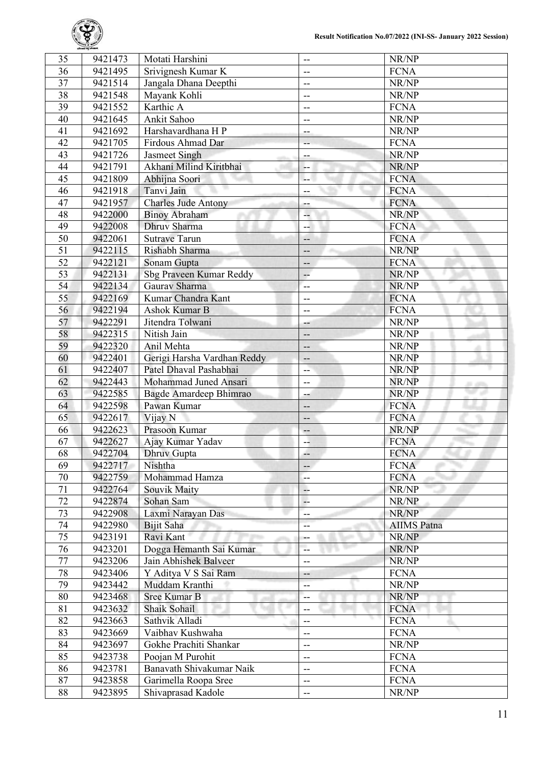

| 35              | 9421473 | Motati Harshini             | --                       | NR/NP              |
|-----------------|---------|-----------------------------|--------------------------|--------------------|
| 36              | 9421495 | Srivignesh Kumar K          | --                       | <b>FCNA</b>        |
| 37              | 9421514 | Jangala Dhana Deepthi       | --                       | NR/NP              |
| $\overline{38}$ | 9421548 | Mayank Kohli                | $\overline{\phantom{a}}$ | NR/NP              |
| $\overline{39}$ | 9421552 | Karthic A                   | $-$                      | <b>FCNA</b>        |
| 40              | 9421645 | Ankit Sahoo                 | --                       | NR/NP              |
| 41              | 9421692 | Harshavardhana H P          | --                       | NR/NP              |
| 42              | 9421705 | Firdous Ahmad Dar           | --                       | <b>FCNA</b>        |
| 43              | 9421726 | Jasmeet Singh               | $-$                      | NR/NP              |
| 44              | 9421791 | Akhani Milind Kiritbhai     | --                       | NR/NP              |
| 45              | 9421809 | Abhijna Soori               | --                       | <b>FCNA</b>        |
| 46              | 9421918 | Tanvi Jain                  | --                       | <b>FCNA</b>        |
| 47              | 9421957 | <b>Charles Jude Antony</b>  | ÷                        | <b>FCNA</b>        |
| 48              | 9422000 | <b>Binoy Abraham</b>        | 4                        | NR/NP              |
| 49              | 9422008 | Dhruv Sharma                |                          | <b>FCNA</b>        |
| 50              | 9422061 | <b>Sutrave Tarun</b>        | --                       | <b>FCNA</b>        |
| $\overline{51}$ | 9422115 | Rishabh Sharma              | --                       | NR/NP              |
| $\overline{52}$ | 9422121 | Sonam Gupta                 | --                       | <b>FCNA</b>        |
| 53              | 9422131 | Sbg Praveen Kumar Reddy     | $-$                      | NR/NP              |
| 54              | 9422134 | Gauray Sharma               | $-$                      | NR/NP              |
| 55              | 9422169 | Kumar Chandra Kant          | --                       | <b>FCNA</b>        |
| 56              | 9422194 | Ashok Kumar B               | $\overline{\phantom{a}}$ | <b>FCNA</b>        |
| 57              | 9422291 | Jitendra Tolwani            |                          | NR/NP              |
| 58              | 9422315 | Nitish Jain                 | --                       | NR/NP              |
| 59              | 9422320 | Anil Mehta                  | --                       | NR/NP              |
| 60              |         |                             | --                       | NR/NP              |
| 61              | 9422401 | Gerigi Harsha Vardhan Reddy | --                       |                    |
|                 | 9422407 | Patel Dhaval Pashabhai      | --                       | NR/NP              |
| 62              | 9422443 | Mohammad Juned Ansari       | --                       | NR/NP              |
| 63              | 9422585 | Bagde Amardeep Bhimrao      | --                       | NR/NP              |
| 64              | 9422598 | Pawan Kumar                 | --                       | <b>FCNA</b>        |
| 65              | 9422617 | Vijay N                     | --                       | <b>FCNA</b>        |
| 66              | 9422623 | Prasoon Kumar               | $-$                      | NR/NP              |
| 67              | 9422627 | Ajay Kumar Yadav            | --                       | <b>FCNA</b>        |
| $\overline{68}$ | 9422704 | <b>Dhruv</b> Gupta          | 44                       | <b>FCNA</b>        |
| 69              | 9422717 | Nishtha                     | --                       | <b>FCNA</b>        |
| 70              | 9422759 | Mohammad Hamza              | --                       | <b>FCNA</b>        |
| 71              | 9422764 | Souvik Maity                | --                       | NR/NP              |
| 72              | 9422874 | Sohan Sam                   | μ.                       | NR/NP              |
| 73              | 9422908 | Laxmi Narayan Das           | --                       | NR/NP              |
| 74              | 9422980 | Bijit Saha                  | --                       | <b>AIIMS</b> Patna |
| 75              | 9423191 | Ravi Kant                   |                          | NR/NP              |
| 76              | 9423201 | Dogga Hemanth Sai Kumar     | --                       | NR/NP              |
| 77              | 9423206 | Jain Abhishek Balveer       | --                       | NR/NP              |
| 78              | 9423406 | Y Aditya V S Sai Ram        | --                       | <b>FCNA</b>        |
| 79              | 9423442 | Muddam Kranthi              | --                       | NR/NP              |
| 80              | 9423468 | <b>Sree Kumar B</b>         | --                       | NR/NP              |
| 81              | 9423632 | Shaik Sohail                | --                       | <b>FCNA</b>        |
| 82              | 9423663 | Sathvik Alladi              | $-$                      | <b>FCNA</b>        |
| 83              | 9423669 | Vaibhav Kushwaha            | $-$                      | <b>FCNA</b>        |
| 84              | 9423697 | Gokhe Prachiti Shankar      | --                       | NR/NP              |
| 85              | 9423738 | Poojan M Purohit            | $\overline{\phantom{a}}$ | <b>FCNA</b>        |
| 86              | 9423781 | Banavath Shivakumar Naik    | $-$                      | <b>FCNA</b>        |
| 87              | 9423858 | Garimella Roopa Sree        | $-$                      | <b>FCNA</b>        |
| 88              | 9423895 | Shivaprasad Kadole          | --                       | NR/NP              |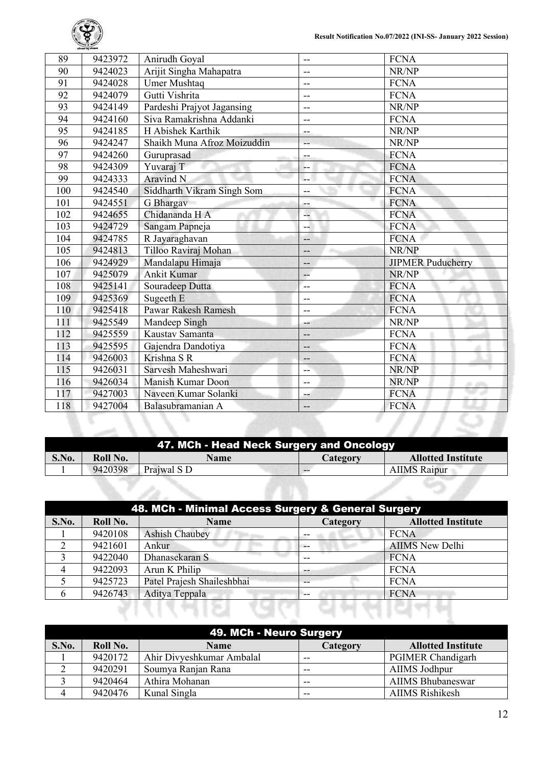

| 89  | 9423972 | Anirudh Goyal               | $\overline{a}$           | <b>FCNA</b>              |
|-----|---------|-----------------------------|--------------------------|--------------------------|
| 90  | 9424023 | Arijit Singha Mahapatra     | $- -$                    | NR/NP                    |
| 91  | 9424028 | <b>Umer Mushtaq</b>         | $-$                      | <b>FCNA</b>              |
| 92  | 9424079 | Gutti Vishrita              | $-$                      | <b>FCNA</b>              |
| 93  | 9424149 | Pardeshi Prajyot Jagansing  | $-$                      | NR/NP                    |
| 94  | 9424160 | Siva Ramakrishna Addanki    | $-$                      | <b>FCNA</b>              |
| 95  | 9424185 | H Abishek Karthik           | $-$                      | NR/NP                    |
| 96  | 9424247 | Shaikh Muna Afroz Moizuddin | $-$                      | NR/NP                    |
| 97  | 9424260 | Guruprasad                  | --                       | <b>FCNA</b>              |
| 98  | 9424309 | Yuvaraj T                   | --                       | <b>FCNA</b>              |
| 99  | 9424333 | <b>Aravind N</b>            | --                       | <b>FCNA</b>              |
| 100 | 9424540 | Siddharth Vikram Singh Som  | $-$                      | <b>FCNA</b>              |
| 101 | 9424551 | G Bhargav                   | ÷.                       | <b>FCNA</b>              |
| 102 | 9424655 | Chidananda H A              | --                       | <b>FCNA</b>              |
| 103 | 9424729 | Sangam Papneja              | --                       | <b>FCNA</b>              |
| 104 | 9424785 | R Jayaraghavan              | --                       | <b>FCNA</b>              |
| 105 | 9424813 | Tilloo Raviraj Mohan        | $-$                      | NR/NP                    |
| 106 | 9424929 | Mandalapu Himaja            | --                       | <b>JIPMER Puducherry</b> |
| 107 | 9425079 | <b>Ankit Kumar</b>          | $\overline{\phantom{a}}$ | NR/NP                    |
| 108 | 9425141 | Souradeep Dutta             | --                       | <b>FCNA</b>              |
| 109 | 9425369 | Sugeeth E                   | $-$                      | <b>FCNA</b>              |
| 110 | 9425418 | Pawar Rakesh Ramesh         | $-$                      | <b>FCNA</b>              |
| 111 | 9425549 | Mandeep Singh               | --                       | NR/NP                    |
| 112 | 9425559 | Kaustav Samanta             | --                       | <b>FCNA</b>              |
| 113 | 9425595 | Gajendra Dandotiya          | --                       | <b>FCNA</b>              |
| 114 | 9426003 | Krishna S R                 | --                       | <b>FCNA</b>              |
| 115 | 9426031 | Sarvesh Maheshwari          | $-$                      | NR/NP                    |
| 116 | 9426034 | Manish Kumar Doon           | $\overline{\phantom{m}}$ | NR/NP<br><b>ALCOHOL</b>  |
| 117 | 9427003 | Naveen Kumar Solanki        | --                       | <b>FCNA</b>              |
| 118 | 9427004 | Balasubramanian A           | --                       | <b>FCNA</b>              |
|     |         |                             |                          |                          |

|       |          | 47. MCh - Head Neck Surgery and Oncology |          |                           |
|-------|----------|------------------------------------------|----------|---------------------------|
| S.No. | Roll No. | <b>Name</b>                              | Category | <b>Allotted Institute</b> |
|       | 9420398  | Prajwal S D                              | --       | <b>AIIMS</b> Raipur       |
|       |          |                                          |          |                           |

|       | 48. MCh - Minimal Access Surgery & General Surgery |                            |                 |                           |  |  |
|-------|----------------------------------------------------|----------------------------|-----------------|---------------------------|--|--|
| S.No. | Roll No.                                           | <b>Name</b>                | <b>Category</b> | <b>Allotted Institute</b> |  |  |
|       | 9420108                                            | <b>Ashish Chaubey</b>      |                 | <b>FCNA</b>               |  |  |
|       | 9421601                                            | Ankur                      | $-$             | <b>AIIMS</b> New Delhi    |  |  |
|       | 9422040                                            | Dhanasekaran S             |                 | <b>FCNA</b>               |  |  |
| 4     | 9422093                                            | Arun K Philip              | --              | <b>FCNA</b>               |  |  |
|       | 9425723                                            | Patel Prajesh Shaileshbhai | --              | <b>FCNA</b>               |  |  |
| h     | 9426743                                            | Aditya Teppala             | --              | <b>FCNA</b>               |  |  |
|       |                                                    |                            |                 |                           |  |  |

|       | 49. MCh - Neuro Surgery |                           |          |                           |  |  |
|-------|-------------------------|---------------------------|----------|---------------------------|--|--|
| S.No. | Roll No.                | <b>Name</b>               | Category | <b>Allotted Institute</b> |  |  |
|       | 9420172                 | Ahir Divyeshkumar Ambalal | $- -$    | <b>PGIMER Chandigarh</b>  |  |  |
|       | 9420291                 | Soumya Ranjan Rana        | $- -$    | AIIMS Jodhpur             |  |  |
|       | 9420464                 | Athira Mohanan            | $-$      | <b>AIIMS Bhubaneswar</b>  |  |  |
|       | 9420476                 | Kunal Singla              | $- -$    | <b>AIIMS Rishikesh</b>    |  |  |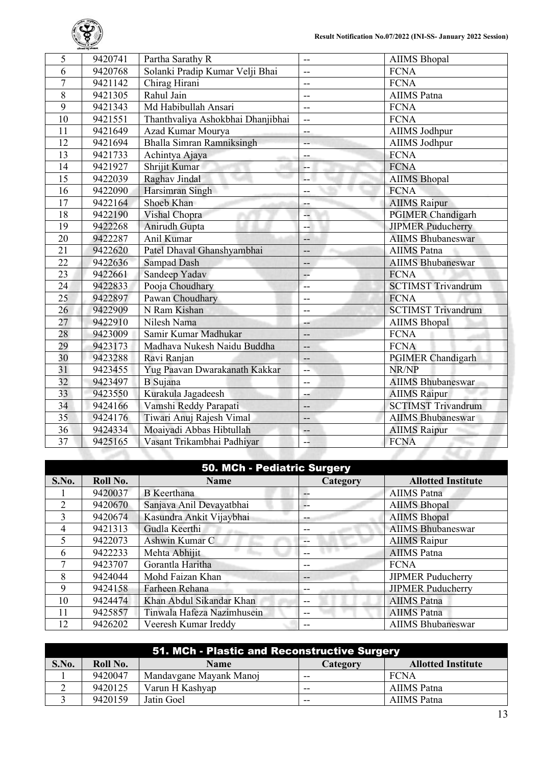

| 6<br>Solanki Pradip Kumar Velji Bhai<br><b>FCNA</b><br>9420768<br>$-$<br>$\overline{7}$<br>Chirag Hirani<br><b>FCNA</b><br>9421142<br>$\overline{\phantom{a}}$<br>$\overline{8}$<br>Rahul Jain<br><b>AIIMS</b> Patna<br>9421305<br>--<br>9<br>Md Habibullah Ansari<br>9421343<br><b>FCNA</b><br>$\overline{\phantom{a}}$<br>10<br>Thanthvaliya Ashokbhai Dhanjibhai<br>9421551<br><b>FCNA</b><br>--<br>11<br>Azad Kumar Mourya<br>9421649<br>AIIMS Jodhpur<br>$-$<br><b>Bhalla Simran Ramniksingh</b><br>12<br>9421694<br>AIIMS Jodhpur<br>$\overline{\phantom{a}}$<br>13<br><b>FCNA</b><br>9421733<br>Achintya Ajaya<br>--<br>Shrijit Kumar<br>14<br>9421927<br><b>FCNA</b><br>15<br>Raghav Jindal<br><b>AIIMS</b> Bhopal<br>9422039<br>--<br>16<br>Harsimran Singh<br><b>FCNA</b><br>9422090<br>--<br>17<br>9422164<br>Shoeb Khan<br><b>AIIMS</b> Raipur<br>÷<br>18<br>Vishal Chopra<br><b>PGIMER Chandigarh</b><br>9422190<br>--<br>19<br>Anirudh Gupta<br><b>JIPMER Puducherry</b><br>9422268<br>$- -$<br>$\overline{20}$<br>9422287<br>Anil Kumar<br><b>AIIMS Bhubaneswar</b><br>--<br>$\overline{21}$<br><b>AIIMS</b> Patna<br>9422620<br>Patel Dhaval Ghanshyambhai<br>--<br>$\overline{22}$<br><b>Sampad Dash</b><br><b>AIIMS Bhubaneswar</b><br>9422636<br>$-$<br>23<br>Sandeep Yadav<br><b>FCNA</b><br>9422661<br>$-$<br><b>SCTIMST Trivandrum</b><br>24<br>Pooja Choudhary<br>9422833<br>--<br>25<br>Pawan Choudhary<br>9422897<br><b>FCNA</b><br>$-$<br><b>SCTIMST Trivandrum</b><br>26<br>N Ram Kishan<br>9422909<br>$\overline{a}$<br>27<br>Nilesh Nama<br>9422910<br><b>AIIMS Bhopal</b><br>--<br>28<br>Samir Kumar Madhukar<br>9423009<br><b>FCNA</b><br>$-$<br>-- | 5  | 9420741 | Partha Sarathy R            | $-$ | <b>AIIMS</b> Bhopal |
|------------------------------------------------------------------------------------------------------------------------------------------------------------------------------------------------------------------------------------------------------------------------------------------------------------------------------------------------------------------------------------------------------------------------------------------------------------------------------------------------------------------------------------------------------------------------------------------------------------------------------------------------------------------------------------------------------------------------------------------------------------------------------------------------------------------------------------------------------------------------------------------------------------------------------------------------------------------------------------------------------------------------------------------------------------------------------------------------------------------------------------------------------------------------------------------------------------------------------------------------------------------------------------------------------------------------------------------------------------------------------------------------------------------------------------------------------------------------------------------------------------------------------------------------------------------------------------------------------------------------------------------------------------------------------------|----|---------|-----------------------------|-----|---------------------|
|                                                                                                                                                                                                                                                                                                                                                                                                                                                                                                                                                                                                                                                                                                                                                                                                                                                                                                                                                                                                                                                                                                                                                                                                                                                                                                                                                                                                                                                                                                                                                                                                                                                                                    |    |         |                             |     |                     |
|                                                                                                                                                                                                                                                                                                                                                                                                                                                                                                                                                                                                                                                                                                                                                                                                                                                                                                                                                                                                                                                                                                                                                                                                                                                                                                                                                                                                                                                                                                                                                                                                                                                                                    |    |         |                             |     |                     |
|                                                                                                                                                                                                                                                                                                                                                                                                                                                                                                                                                                                                                                                                                                                                                                                                                                                                                                                                                                                                                                                                                                                                                                                                                                                                                                                                                                                                                                                                                                                                                                                                                                                                                    |    |         |                             |     |                     |
|                                                                                                                                                                                                                                                                                                                                                                                                                                                                                                                                                                                                                                                                                                                                                                                                                                                                                                                                                                                                                                                                                                                                                                                                                                                                                                                                                                                                                                                                                                                                                                                                                                                                                    |    |         |                             |     |                     |
|                                                                                                                                                                                                                                                                                                                                                                                                                                                                                                                                                                                                                                                                                                                                                                                                                                                                                                                                                                                                                                                                                                                                                                                                                                                                                                                                                                                                                                                                                                                                                                                                                                                                                    |    |         |                             |     |                     |
|                                                                                                                                                                                                                                                                                                                                                                                                                                                                                                                                                                                                                                                                                                                                                                                                                                                                                                                                                                                                                                                                                                                                                                                                                                                                                                                                                                                                                                                                                                                                                                                                                                                                                    |    |         |                             |     |                     |
|                                                                                                                                                                                                                                                                                                                                                                                                                                                                                                                                                                                                                                                                                                                                                                                                                                                                                                                                                                                                                                                                                                                                                                                                                                                                                                                                                                                                                                                                                                                                                                                                                                                                                    |    |         |                             |     |                     |
|                                                                                                                                                                                                                                                                                                                                                                                                                                                                                                                                                                                                                                                                                                                                                                                                                                                                                                                                                                                                                                                                                                                                                                                                                                                                                                                                                                                                                                                                                                                                                                                                                                                                                    |    |         |                             |     |                     |
|                                                                                                                                                                                                                                                                                                                                                                                                                                                                                                                                                                                                                                                                                                                                                                                                                                                                                                                                                                                                                                                                                                                                                                                                                                                                                                                                                                                                                                                                                                                                                                                                                                                                                    |    |         |                             |     |                     |
|                                                                                                                                                                                                                                                                                                                                                                                                                                                                                                                                                                                                                                                                                                                                                                                                                                                                                                                                                                                                                                                                                                                                                                                                                                                                                                                                                                                                                                                                                                                                                                                                                                                                                    |    |         |                             |     |                     |
|                                                                                                                                                                                                                                                                                                                                                                                                                                                                                                                                                                                                                                                                                                                                                                                                                                                                                                                                                                                                                                                                                                                                                                                                                                                                                                                                                                                                                                                                                                                                                                                                                                                                                    |    |         |                             |     |                     |
|                                                                                                                                                                                                                                                                                                                                                                                                                                                                                                                                                                                                                                                                                                                                                                                                                                                                                                                                                                                                                                                                                                                                                                                                                                                                                                                                                                                                                                                                                                                                                                                                                                                                                    |    |         |                             |     |                     |
|                                                                                                                                                                                                                                                                                                                                                                                                                                                                                                                                                                                                                                                                                                                                                                                                                                                                                                                                                                                                                                                                                                                                                                                                                                                                                                                                                                                                                                                                                                                                                                                                                                                                                    |    |         |                             |     |                     |
|                                                                                                                                                                                                                                                                                                                                                                                                                                                                                                                                                                                                                                                                                                                                                                                                                                                                                                                                                                                                                                                                                                                                                                                                                                                                                                                                                                                                                                                                                                                                                                                                                                                                                    |    |         |                             |     |                     |
|                                                                                                                                                                                                                                                                                                                                                                                                                                                                                                                                                                                                                                                                                                                                                                                                                                                                                                                                                                                                                                                                                                                                                                                                                                                                                                                                                                                                                                                                                                                                                                                                                                                                                    |    |         |                             |     |                     |
|                                                                                                                                                                                                                                                                                                                                                                                                                                                                                                                                                                                                                                                                                                                                                                                                                                                                                                                                                                                                                                                                                                                                                                                                                                                                                                                                                                                                                                                                                                                                                                                                                                                                                    |    |         |                             |     |                     |
|                                                                                                                                                                                                                                                                                                                                                                                                                                                                                                                                                                                                                                                                                                                                                                                                                                                                                                                                                                                                                                                                                                                                                                                                                                                                                                                                                                                                                                                                                                                                                                                                                                                                                    |    |         |                             |     |                     |
|                                                                                                                                                                                                                                                                                                                                                                                                                                                                                                                                                                                                                                                                                                                                                                                                                                                                                                                                                                                                                                                                                                                                                                                                                                                                                                                                                                                                                                                                                                                                                                                                                                                                                    |    |         |                             |     |                     |
|                                                                                                                                                                                                                                                                                                                                                                                                                                                                                                                                                                                                                                                                                                                                                                                                                                                                                                                                                                                                                                                                                                                                                                                                                                                                                                                                                                                                                                                                                                                                                                                                                                                                                    |    |         |                             |     |                     |
|                                                                                                                                                                                                                                                                                                                                                                                                                                                                                                                                                                                                                                                                                                                                                                                                                                                                                                                                                                                                                                                                                                                                                                                                                                                                                                                                                                                                                                                                                                                                                                                                                                                                                    |    |         |                             |     |                     |
|                                                                                                                                                                                                                                                                                                                                                                                                                                                                                                                                                                                                                                                                                                                                                                                                                                                                                                                                                                                                                                                                                                                                                                                                                                                                                                                                                                                                                                                                                                                                                                                                                                                                                    |    |         |                             |     |                     |
|                                                                                                                                                                                                                                                                                                                                                                                                                                                                                                                                                                                                                                                                                                                                                                                                                                                                                                                                                                                                                                                                                                                                                                                                                                                                                                                                                                                                                                                                                                                                                                                                                                                                                    |    |         |                             |     |                     |
|                                                                                                                                                                                                                                                                                                                                                                                                                                                                                                                                                                                                                                                                                                                                                                                                                                                                                                                                                                                                                                                                                                                                                                                                                                                                                                                                                                                                                                                                                                                                                                                                                                                                                    |    |         |                             |     |                     |
|                                                                                                                                                                                                                                                                                                                                                                                                                                                                                                                                                                                                                                                                                                                                                                                                                                                                                                                                                                                                                                                                                                                                                                                                                                                                                                                                                                                                                                                                                                                                                                                                                                                                                    | 29 | 9423173 | Madhava Nukesh Naidu Buddha |     | <b>FCNA</b>         |
| 30<br><b>PGIMER Chandigarh</b><br>9423288<br>Ravi Ranjan<br>--                                                                                                                                                                                                                                                                                                                                                                                                                                                                                                                                                                                                                                                                                                                                                                                                                                                                                                                                                                                                                                                                                                                                                                                                                                                                                                                                                                                                                                                                                                                                                                                                                     |    |         |                             |     |                     |
| 31<br>Yug Paavan Dwarakanath Kakkar<br>9423455<br>NR/NP<br>--                                                                                                                                                                                                                                                                                                                                                                                                                                                                                                                                                                                                                                                                                                                                                                                                                                                                                                                                                                                                                                                                                                                                                                                                                                                                                                                                                                                                                                                                                                                                                                                                                      |    |         |                             |     |                     |
| $\overline{32}$<br><b>B</b> Sujana<br><b>AIIMS Bhubaneswar</b><br>9423497<br>$-$                                                                                                                                                                                                                                                                                                                                                                                                                                                                                                                                                                                                                                                                                                                                                                                                                                                                                                                                                                                                                                                                                                                                                                                                                                                                                                                                                                                                                                                                                                                                                                                                   |    |         |                             |     |                     |
| 33<br>Kurakula Jagadeesh<br>9423550<br><b>AIIMS Raipur</b><br>--                                                                                                                                                                                                                                                                                                                                                                                                                                                                                                                                                                                                                                                                                                                                                                                                                                                                                                                                                                                                                                                                                                                                                                                                                                                                                                                                                                                                                                                                                                                                                                                                                   |    |         |                             |     |                     |
| <b>SCTIMST Trivandrum</b><br>34<br>Vamshi Reddy Parapati<br>9424166<br>--                                                                                                                                                                                                                                                                                                                                                                                                                                                                                                                                                                                                                                                                                                                                                                                                                                                                                                                                                                                                                                                                                                                                                                                                                                                                                                                                                                                                                                                                                                                                                                                                          |    |         |                             |     |                     |
| 35<br>Tiwari Anuj Rajesh Vimal<br><b>AIIMS Bhubaneswar</b><br>9424176<br>--                                                                                                                                                                                                                                                                                                                                                                                                                                                                                                                                                                                                                                                                                                                                                                                                                                                                                                                                                                                                                                                                                                                                                                                                                                                                                                                                                                                                                                                                                                                                                                                                        |    |         |                             |     |                     |
| 36<br>Moaiyadi Abbas Hibtullah<br>9424334<br><b>AIIMS</b> Raipur<br>$--$                                                                                                                                                                                                                                                                                                                                                                                                                                                                                                                                                                                                                                                                                                                                                                                                                                                                                                                                                                                                                                                                                                                                                                                                                                                                                                                                                                                                                                                                                                                                                                                                           |    |         |                             |     |                     |
| $\overline{37}$<br>9425165<br>Vasant Trikambhai Padhiyar<br><b>FCNA</b><br>--                                                                                                                                                                                                                                                                                                                                                                                                                                                                                                                                                                                                                                                                                                                                                                                                                                                                                                                                                                                                                                                                                                                                                                                                                                                                                                                                                                                                                                                                                                                                                                                                      |    |         |                             |     |                     |

| 50. MCh - Pediatric Surgery |  |
|-----------------------------|--|
|                             |  |

| S.No.          | Roll No. | <b>Name</b>                | ---<br>Category | <b>Allotted Institute</b> |
|----------------|----------|----------------------------|-----------------|---------------------------|
|                | 9420037  | <b>B</b> Keerthana         | --              | <b>AIIMS</b> Patna        |
| $\overline{2}$ | 9420670  | Sanjava Anil Devayatbhai   | $- -$           | <b>AIIMS</b> Bhopal       |
| 3              | 9420674  | Kasundra Ankit Vijaybhai   | --              | <b>AIIMS Bhopal</b>       |
| 4              | 9421313  | Gudla Keerthi              | --              | <b>AIIMS Bhubaneswar</b>  |
|                | 9422073  | Ashwin Kumar C             | --              | <b>AIIMS</b> Raipur       |
| 6              | 9422233  | Mehta Abhijit              |                 | <b>AIIMS</b> Patna        |
|                | 9423707  | Gorantla Haritha           | --              | <b>FCNA</b>               |
| 8              | 9424044  | Mohd Faizan Khan           | --              | <b>JIPMER Puducherry</b>  |
| 9              | 9424158  | Farheen Rehana             | --              | <b>JIPMER Puducherry</b>  |
| 10             | 9424474  | Khan Abdul Sikandar Khan   | --              | <b>AIIMS</b> Patna        |
| 11             | 9425857  | Tinwala Hafeza Nazimhusein | --              | <b>AIIMS</b> Patna        |
| 12             | 9426202  | Veeresh Kumar Ireddy       | --              | <b>AIIMS</b> Bhubaneswar  |

| 51. MCh - Plastic and Reconstructive Surgery |          |                         |          |                           |  |
|----------------------------------------------|----------|-------------------------|----------|---------------------------|--|
| S.No.                                        | Roll No. | <b>Name</b>             | Category | <b>Allotted Institute</b> |  |
|                                              | 9420047  | Mandavgane Mayank Manoj | $- -$    | FCNA                      |  |
|                                              | 9420125  | Varun H Kashyap         | $-$      | AIIMS Patna               |  |
|                                              | 9420159  | Jatin Goel              | $- -$    | AIIMS Patna               |  |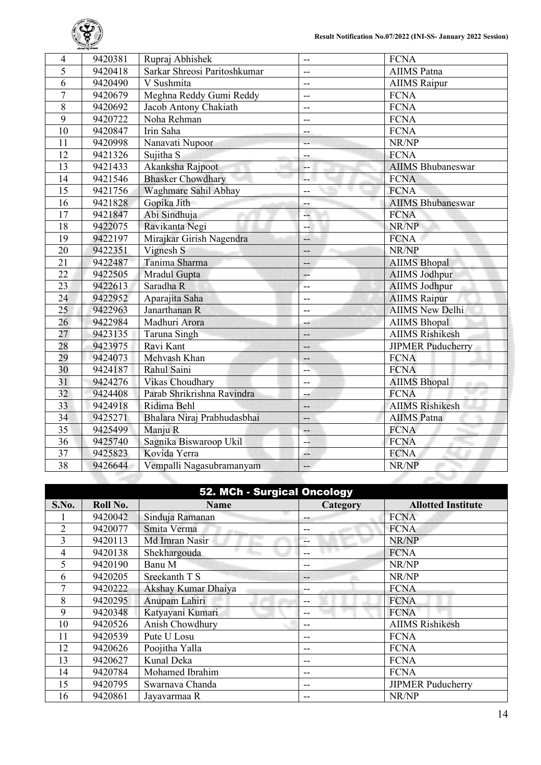

| 4               | 9420381 | Rupraj Abhishek              | --                       | <b>FCNA</b>              |
|-----------------|---------|------------------------------|--------------------------|--------------------------|
| 5               | 9420418 | Sarkar Shreosi Paritoshkumar | --                       | <b>AIIMS</b> Patna       |
| 6               | 9420490 | V Sushmita                   | $\overline{\phantom{a}}$ | <b>AIIMS</b> Raipur      |
| $\overline{7}$  | 9420679 | Meghna Reddy Gumi Reddy      | $-$                      | <b>FCNA</b>              |
| 8               | 9420692 | Jacob Antony Chakiath        | $-$                      | <b>FCNA</b>              |
| 9               | 9420722 | Noha Rehman                  | $\overline{\phantom{a}}$ | <b>FCNA</b>              |
| 10              | 9420847 | Irin Saha                    | --                       | <b>FCNA</b>              |
| 11              | 9420998 | Nanavati Nupoor              |                          | NR/NP                    |
| 12              | 9421326 | Sujitha <sub>S</sub>         | --                       | <b>FCNA</b>              |
| 13              | 9421433 | Akanksha Rajpoot             | --                       | <b>AIIMS Bhubaneswar</b> |
| 14              | 9421546 | <b>Bhasker Chowdhary</b>     | $-$                      | <b>FCNA</b>              |
| $\overline{15}$ | 9421756 | Waghmare Sahil Abhay         | --                       | <b>FCNA</b>              |
| $\overline{16}$ | 9421828 | Gopika Jith                  | $-$                      | <b>AIIMS Bhubaneswar</b> |
| 17              | 9421847 | Abi Sindhuja                 | 44                       | <b>FCNA</b>              |
| 18              | 9422075 | Ravikanta Negi               | --                       | NR/NP                    |
| 19              | 9422197 | Mirajkar Girish Nagendra     | --                       | <b>FCNA</b>              |
| 20              | 9422351 | Vignesh S                    | $-$                      | NR/NP                    |
| $\overline{21}$ | 9422487 | Tanima Sharma                | --                       | <b>AIIMS</b> Bhopal      |
| $\overline{22}$ | 9422505 | Mradul Gupta                 | $-$                      | <b>AIIMS Jodhpur</b>     |
| $\overline{23}$ | 9422613 | Saradha R                    | $-$                      | AIIMS Jodhpur            |
| 24              | 9422952 | Aparajita Saha               | $-$                      | <b>AIIMS</b> Raipur      |
| 25              | 9422963 | Janarthanan R                | ÷-                       | <b>AIIMS New Delhi</b>   |
| 26              | 9422984 | Madhuri Arora                | --                       | <b>AIIMS Bhopal</b>      |
| 27              | 9423135 | Taruna Singh                 | --                       | <b>AIIMS Rishikesh</b>   |
| 28              | 9423975 | Ravi Kant                    | --                       | <b>JIPMER Puducherry</b> |
| 29              | 9424073 | Mehvash Khan                 | $-$                      | <b>FCNA</b>              |
| 30              | 9424187 | Rahul Saini                  | --                       | <b>FCNA</b>              |
| 31              | 9424276 | Vikas Choudhary              | $-$                      | <b>AIIMS</b> Bhopal      |
| 32              | 9424408 | Parab Shrikrishna Ravindra   | $-$                      | <b>FCNA</b>              |
| 33              | 9424918 | Ridima Behl                  | --                       | <b>AIIMS Rishikesh</b>   |
| 34              | 9425271 | Bhalara Niraj Prabhudasbhai  | $-$                      | <b>AIIMS</b> Patna       |
| $\overline{35}$ | 9425499 | Manju R                      | --                       | <b>FCNA</b>              |
| 36              | 9425740 | Sagnika Biswaroop Ukil       | 44                       | <b>FCNA</b>              |
| $\overline{37}$ | 9425823 | Kovida Yerra                 | ۰.                       | <b>FCNA</b>              |
| 38              | 9426644 | Vempalli Nagasubramanyam     | --                       | NR/NP                    |
|                 |         |                              |                          |                          |

| 52. MCh - Surgical Oncology |          |                     |          |                           |  |
|-----------------------------|----------|---------------------|----------|---------------------------|--|
| S.No.                       | Roll No. | <b>Name</b>         | Category | <b>Allotted Institute</b> |  |
|                             | 9420042  | Sinduja Ramanan     | --       | <b>FCNA</b>               |  |
| 2                           | 9420077  | Smita Verma         | --       | <b>FCNA</b>               |  |
| 3                           | 9420113  | Md Imran Nasir      | --       | NR/NP                     |  |
| 4                           | 9420138  | Shekhargouda        | --       | <b>FCNA</b>               |  |
| 5                           | 9420190  | Banu M              | --       | NR/NP                     |  |
| 6                           | 9420205  | Sreekanth T S       | --       | NR/NP                     |  |
|                             | 9420222  | Akshay Kumar Dhaiya | --       | <b>FCNA</b>               |  |
| 8                           | 9420295  | Anupam Lahiri       | --       | <b>FCNA</b>               |  |
| 9                           | 9420348  | Katyayani Kumari    | --       | <b>FCNA</b>               |  |
| 10                          | 9420526  | Anish Chowdhury     | --       | <b>AIIMS Rishikesh</b>    |  |
| 11                          | 9420539  | Pute U Losu         | --       | <b>FCNA</b>               |  |
| 12                          | 9420626  | Poojitha Yalla      | --       | <b>FCNA</b>               |  |
| 13                          | 9420627  | Kunal Deka          | --       | <b>FCNA</b>               |  |
| 14                          | 9420784  | Mohamed Ibrahim     | --       | <b>FCNA</b>               |  |
| 15                          | 9420795  | Swarnava Chanda     | --       | <b>JIPMER Puducherry</b>  |  |
| 16                          | 9420861  | Jayavarmaa R        | --       | NR/NP                     |  |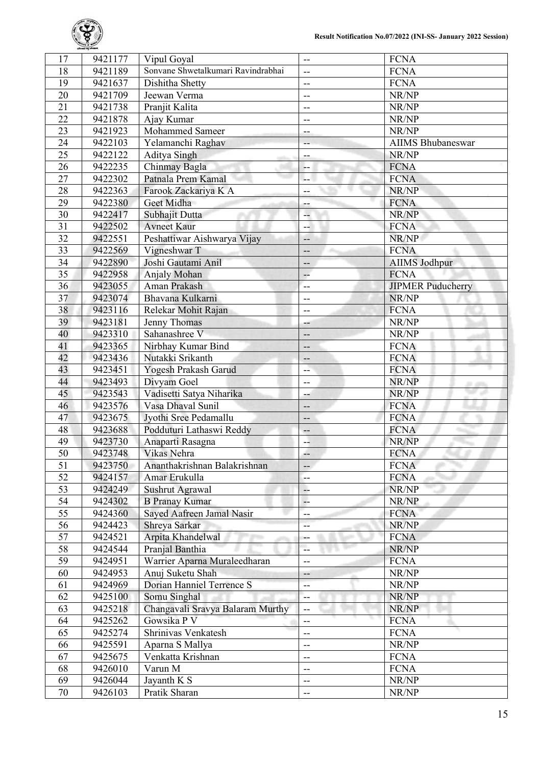

| 17              | 9421177 | Vipul Goyal                        | --                       | <b>FCNA</b>              |
|-----------------|---------|------------------------------------|--------------------------|--------------------------|
| 18              | 9421189 | Sonvane Shwetalkumari Ravindrabhai | $\overline{\phantom{a}}$ | <b>FCNA</b>              |
| 19              | 9421637 | Dishitha Shetty                    | $\overline{\phantom{m}}$ | <b>FCNA</b>              |
| $\overline{20}$ | 9421709 | Jeewan Verma                       | --                       | NR/NP                    |
| 21              | 9421738 | Pranjit Kalita                     | $-$                      | NR/NP                    |
| $\overline{22}$ | 9421878 | Ajay Kumar                         | $-$                      | NR/NP                    |
| $\overline{23}$ | 9421923 | Mohammed Sameer                    | --                       | NR/NP                    |
| 24              | 9422103 | Yelamanchi Raghav                  | --                       | <b>AIIMS Bhubaneswar</b> |
| 25              | 9422122 | Aditya Singh                       | --                       | NR/NP                    |
| 26              | 9422235 | Chinmay Bagla                      | ۰.                       | <b>FCNA</b>              |
| 27              | 9422302 | Patnala Prem Kamal                 | Щ.                       | <b>FCNA</b>              |
| 28              | 9422363 | Farook Zackariya K A               | --                       | NR/NP                    |
| 29              | 9422380 | Geet Midha                         | --                       | <b>FCNA</b>              |
| 30              | 9422417 | Subhajit Dutta                     | --                       | NR/NP                    |
| 31              | 9422502 | <b>Avneet Kaur</b>                 | --                       | <b>FCNA</b>              |
| $\overline{32}$ | 9422551 | Peshattiwar Aishwarya Vijay        | --                       | NR/NP                    |
| 33              | 9422569 | Vigneshwar T                       | --                       | <b>FCNA</b>              |
| 34              | 9422890 | Joshi Gautami Anil                 | --                       | AIIMS Jodhpur            |
| 35              | 9422958 | Anjaly Mohan                       | $\overline{\phantom{a}}$ | <b>FCNA</b>              |
| 36              | 9423055 | Aman Prakash                       | $-$                      | <b>JIPMER Puducherry</b> |
| 37              | 9423074 | Bhavana Kulkarni                   | --                       | NR/NP                    |
| 38              | 9423116 | Relekar Mohit Rajan                | --                       | <b>FCNA</b>              |
| 39              | 9423181 | Jenny Thomas                       | --                       | NR/NP                    |
| 40              | 9423310 | Sahanashree V                      | --                       | NR/NP                    |
| 41              | 9423365 | Nirbhay Kumar Bind                 | --                       | <b>FCNA</b>              |
| 42              | 9423436 | Nutakki Srikanth                   | --                       | <b>FCNA</b>              |
| 43              | 9423451 | Yogesh Prakash Garud               | --                       | <b>FCNA</b>              |
| 44              | 9423493 | Divyam Goel                        | $-$                      | NR/NP<br>. .             |
| 45              | 9423543 | Vadisetti Satya Niharika           | --                       | NR/NP                    |
| 46              | 9423576 | Vasa Dhaval Sunil                  | --                       | <b>FCNA</b>              |
| 47              | 9423675 | Jyothi Sree Pedamallu              | --                       | <b>FCNA</b>              |
| 48              | 9423688 | Podduturi Lathaswi Reddy           | $-$                      | <b>FCNA</b>              |
| 49              | 9423730 | Anaparti Rasagna                   | --                       | NR/NP                    |
| $\overline{50}$ | 9423748 | Vikas Nehra                        | --                       | <b>FCNA</b>              |
| 51              | 9423750 | Ananthakrishnan Balakrishnan       | --                       | <b>FCNA</b>              |
| 52              | 9424157 | Amar Erukulla                      | $\overline{a}$           | <b>FCNA</b>              |
| 53              | 9424249 | Sushrut Agrawal                    | --                       | NR/NP                    |
| 54              | 9424302 | <b>B</b> Pranay Kumar              | LL.                      | NR/NP                    |
| 55              | 9424360 | Sayed Aafreen Jamal Nasir          | $-$                      | <b>FCNA</b>              |
| 56              | 9424423 | Shreya Sarkar                      | --                       | NR/NP                    |
| 57              | 9424521 | Arpita Khandelwal                  | --                       | <b>FCNA</b>              |
| 58              | 9424544 | Pranjal Banthia                    | --                       | NR/NP                    |
| 59              | 9424951 | Warrier Aparna Muraleedharan       | $-$                      | <b>FCNA</b>              |
| 60              | 9424953 | Anuj Suketu Shah                   | --                       | NR/NP                    |
| 61              | 9424969 | Dorian Hanniel Terrence S          | --                       | NR/NP                    |
| 62              | 9425100 | Somu Singhal                       | --                       | NR/NP                    |
| 63              | 9425218 | Changavali Sravya Balaram Murthy   | $-$                      | NR/NP                    |
| 64              | 9425262 | Gowsika P V                        | --                       | <b>FCNA</b>              |
| 65              | 9425274 | Shrinivas Venkatesh                | $- -$                    | <b>FCNA</b>              |
| 66              | 9425591 | Aparna S Mallya                    | $\overline{\phantom{a}}$ | NR/NP                    |
| 67              | 9425675 | Venkatta Krishnan                  | $-$                      | <b>FCNA</b>              |
| 68              | 9426010 | Varun M                            | --                       | <b>FCNA</b>              |
| 69              | 9426044 | Jayanth K S                        | --                       | NR/NP                    |
| 70              | 9426103 | Pratik Sharan                      | --                       | NR/NP                    |
|                 |         |                                    |                          |                          |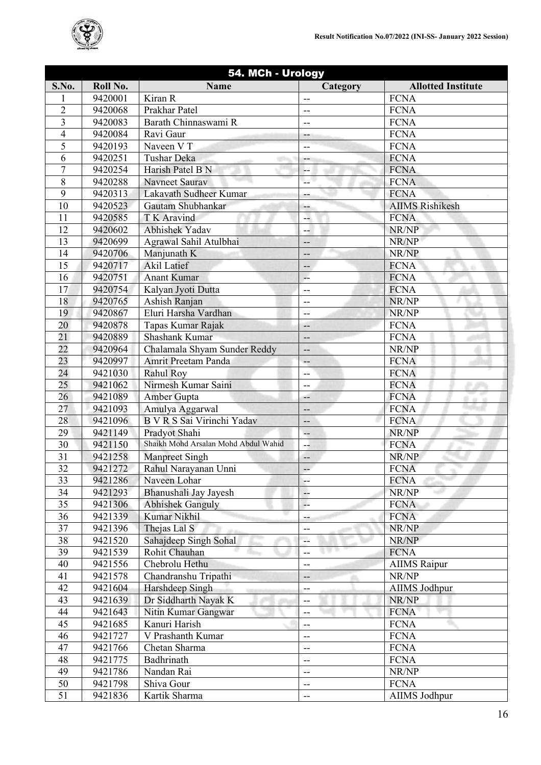

| 54. MCh - Urology |          |                                      |                               |                           |
|-------------------|----------|--------------------------------------|-------------------------------|---------------------------|
| S.No.             | Roll No. | <b>Name</b>                          | Category                      | <b>Allotted Institute</b> |
| 1                 | 9420001  | Kiran R                              | --                            | <b>FCNA</b>               |
| $\overline{2}$    | 9420068  | Prakhar Patel                        | $\overline{\phantom{m}}$      | <b>FCNA</b>               |
| 3                 | 9420083  | Barath Chinnaswami R                 | $-$                           | <b>FCNA</b>               |
| $\overline{4}$    | 9420084  | Ravi Gaur                            | --                            | <b>FCNA</b>               |
| 5                 | 9420193  | Naveen V T                           | --                            | <b>FCNA</b>               |
| 6                 | 9420251  | Tushar Deka                          | --                            | <b>FCNA</b>               |
| $\overline{7}$    | 9420254  | Harish Patel B N                     | --                            | <b>FCNA</b>               |
| 8                 | 9420288  | Navneet Saurav                       |                               | <b>FCNA</b>               |
| 9                 | 9420313  | Lakavath Sudheer Kumar               | --                            | <b>FCNA</b>               |
| 10                | 9420523  | Gautam Shubhankar                    | --                            | <b>AIIMS Rishikesh</b>    |
| 11                | 9420585  | T K Aravind                          | ц.                            | <b>FCNA</b>               |
| 12                | 9420602  | <b>Abhishek Yadav</b>                | --                            | NR/NP                     |
| 13                | 9420699  | Agrawal Sahil Atulbhai               | --                            | NR/NP                     |
| 14                | 9420706  | Manjunath K                          | --                            | NR/NP                     |
| 15                | 9420717  | <b>Akil Latief</b>                   | --                            | <b>FCNA</b>               |
| 16                | 9420751  | <b>Anant Kumar</b>                   | цL,                           | <b>FCNA</b>               |
| 17                | 9420754  | Kalyan Jyoti Dutta                   | $\overline{\phantom{a}}$      | <b>FCNA</b>               |
| 18                | 9420765  | Ashish Ranjan                        | --                            | NR/NP                     |
| 19                | 9420867  | Eluri Harsha Vardhan                 | --                            | NR/NP                     |
| 20                | 9420878  | Tapas Kumar Rajak                    | --                            | <b>FCNA</b>               |
| $\overline{21}$   | 9420889  | Shashank Kumar                       | --                            | <b>FCNA</b>               |
| 22                | 9420964  | Chalamala Shyam Sunder Reddy         | --                            | NR/NP                     |
| 23                | 9420997  | Amrit Preetam Panda                  | $--$                          | <b>FCNA</b>               |
| 24                | 9421030  | <b>Rahul Roy</b>                     | --                            | <b>FCNA</b>               |
| 25                | 9421062  | Nirmesh Kumar Saini                  | $-$                           | <b>FCNA</b>               |
| 26                | 9421089  | Amber Gupta                          | --                            | <b>FCNA</b><br>41.10      |
| 27                | 9421093  | Amulya Aggarwal                      | --                            | <b>FCNA</b>               |
| 28                | 9421096  | B V R S Sai Virinchi Yadav           | $-$                           | <b>FCNA</b>               |
| 29                | 9421149  | Pradyot Shahi                        | --                            | NR/NP                     |
| 30                | 9421150  | Shaikh Mohd Arsalan Mohd Abdul Wahid | --                            | <b>FCNA</b>               |
| 31                | 9421258  | <b>Manpreet Singh</b>                | $\overline{\phantom{a}}$      | NR/NP                     |
| $\overline{32}$   | 9421272  | Rahul Narayanan Unni                 | $-$                           | <b>FCNA</b>               |
| 33                | 9421286  | Naveen Lohar                         | --                            | <b>FCNA</b>               |
| 34                | 9421293  | Bhanushali Jay Jayesh                | --                            | NR/NP                     |
| 35                | 9421306  | <b>Abhishek Ganguly</b>              | L.                            | <b>FCNA</b>               |
| 36                | 9421339  | Kumar Nikhil                         | --                            | <b>FCNA</b>               |
| 37                | 9421396  | Thejas Lal S                         | $-$                           | NR/NP                     |
| 38                | 9421520  | Sahajdeep Singh Sohal                | --                            | NR/NP                     |
| 39                | 9421539  | Rohit Chauhan                        | w<br>$\overline{\phantom{a}}$ | <b>FCNA</b>               |
| 40                | 9421556  | Chebrolu Hethu                       | $\qquad \qquad -$             | <b>AIIMS</b> Raipur       |
| 41                | 9421578  | Chandranshu Tripathi                 | --                            | NR/NP                     |
| 42                | 9421604  | Harshdeep Singh                      | --                            | AIIMS Jodhpur             |
| 43                | 9421639  | Dr Siddharth Nayak K                 | $-$                           | NR/NP                     |
| 44                | 9421643  | Nitin Kumar Gangwar                  | --                            | <b>FCNA</b>               |
| 45                | 9421685  | Kanuri Harish                        | $\overline{\phantom{m}}$      | <b>FCNA</b>               |
| 46                | 9421727  | V Prashanth Kumar                    | $-$                           | <b>FCNA</b>               |
| 47                | 9421766  | Chetan Sharma                        | $-$                           | <b>FCNA</b>               |
| 48                | 9421775  | Badhrinath                           | $\overline{\phantom{a}}$      | <b>FCNA</b>               |
| 49                | 9421786  | Nandan Rai                           | $\overline{\phantom{m}}$      | NR/NP                     |
| 50                | 9421798  | Shiva Gour                           | $\overline{\phantom{a}}$      | <b>FCNA</b>               |
| $\overline{51}$   | 9421836  | Kartik Sharma                        | $\overline{a}$                | AIIMS Jodhpur             |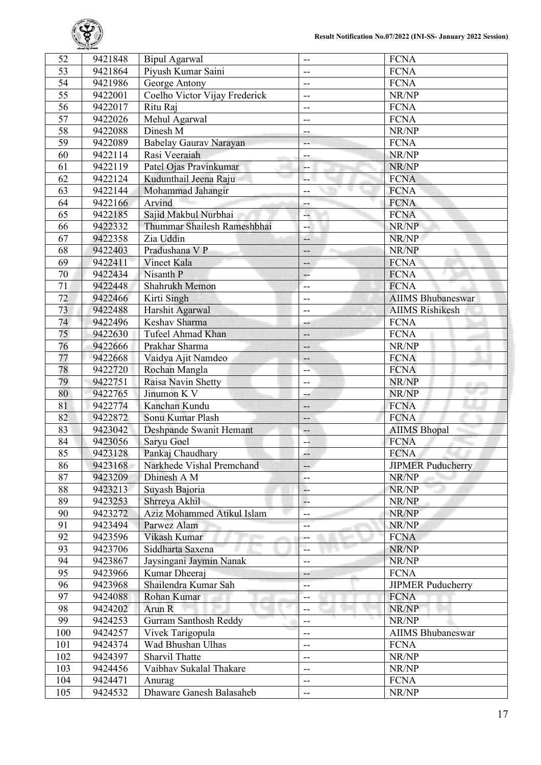

| 52              | 9421848 | <b>Bipul Agarwal</b>          | --                       | <b>FCNA</b>              |
|-----------------|---------|-------------------------------|--------------------------|--------------------------|
| 53              | 9421864 | Piyush Kumar Saini            | --                       | <b>FCNA</b>              |
| 54              | 9421986 | George Antony                 | --                       | <b>FCNA</b>              |
| $\overline{55}$ | 9422001 | Coelho Victor Vijay Frederick | $\overline{\phantom{a}}$ | NR/NP                    |
| 56              | 9422017 | Ritu Raj                      | $-$                      | <b>FCNA</b>              |
| $\overline{57}$ | 9422026 | Mehul Agarwal                 | --                       | <b>FCNA</b>              |
| $\overline{58}$ | 9422088 | Dinesh M                      | --                       | NR/NP                    |
| 59              | 9422089 | Babelay Gauray Narayan        | --                       | <b>FCNA</b>              |
| 60              | 9422114 | Rasi Veeraiah                 | $-$                      | NR/NP                    |
| 61              | 9422119 | Patel Ojas Pravinkumar        | --                       | NR/NP                    |
| 62              | 9422124 | Kudunthail Jeena Raju         | --                       | <b>FCNA</b>              |
| 63              | 9422144 | Mohammad Jahangir             | --                       | <b>FCNA</b>              |
| 64              | 9422166 | Arvind                        | ÷                        | <b>FCNA</b>              |
| 65              | 9422185 | Sajid Makbul Nurbhai          | --                       | <b>FCNA</b>              |
| 66              | 9422332 | Thummar Shailesh Rameshbhai   | --                       | NR/NP                    |
| 67              | 9422358 | Zia Uddin                     | --                       | NR/NP                    |
| 68              | 9422403 | Pradushana V P                | --                       | NR/NP                    |
| 69              | 9422411 | Vineet Kala                   | --                       | <b>FCNA</b>              |
| 70              | 9422434 | Nisanth P                     | $-$                      | <b>FCNA</b>              |
| 71              | 9422448 | Shahrukh Memon                | $-$                      | <b>FCNA</b>              |
| 72              | 9422466 | Kirti Singh                   | --                       | <b>AIIMS Bhubaneswar</b> |
| 73              | 9422488 | Harshit Agarwal               | $\overline{a}$           | <b>AIIMS</b> Rishikesh   |
| 74              | 9422496 | Keshav Sharma                 | --                       | <b>FCNA</b>              |
| 75              | 9422630 | Tufeel Ahmad Khan             | --                       | <b>FCNA</b>              |
| 76              | 9422666 | Prakhar Sharma                | --                       | NR/NP                    |
| 77              | 9422668 | Vaidya Ajit Namdeo            | --                       | <b>FCNA</b>              |
| 78              | 9422720 | Rochan Mangla                 | --                       | <b>FCNA</b>              |
| 79              | 9422751 | Raisa Navin Shetty            | --                       | NR/NP                    |
| 80              | 9422765 | Jinumon K V                   | --                       | NR/NP                    |
| 81              | 9422774 | Kanchan Kundu                 | --                       | <b>FCNA</b>              |
| 82              | 9422872 | Sonu Kumar Plash              | --                       | <b>FCNA</b>              |
| $\overline{83}$ | 9423042 | Deshpande Swanit Hemant       | $-$                      | <b>AIIMS Bhopal</b>      |
| 84              | 9423056 | Saryu Goel                    | --                       | <b>FCNA</b>              |
| 85              | 9423128 | Pankaj Chaudhary              | 44                       | <b>FCNA</b>              |
| 86              | 9423168 | Narkhede Vishal Premchand     | --                       | <b>JIPMER Puducherry</b> |
| 87              | 9423209 | Dhinesh A M                   | $-$                      | NR/NP                    |
| 88              | 9423213 | Suyash Bajoria                | $-$                      | NR/NP                    |
| 89              | 9423253 | Shrreya Akhil                 | 44                       | NR/NP                    |
| 90              | 9423272 | Aziz Mohammed Atikul Islam    |                          | NR/NP                    |
| 91              | 9423494 | Parwez Alam                   | --                       | NR/NP                    |
| 92              | 9423596 | Vikash Kumar                  | --                       | <b>FCNA</b>              |
| 93              | 9423706 | Siddharta Saxena              | ۰.<br>--                 | NR/NP                    |
| 94              | 9423867 | Jaysingani Jaymin Nanak       | $-$                      | NR/NP                    |
| 95              | 9423966 | Kumar Dheeraj                 |                          | <b>FCNA</b>              |
| 96              | 9423968 | Shailendra Kumar Sah          | --                       | <b>JIPMER Puducherry</b> |
| 97              |         |                               | --                       |                          |
| 98              | 9424088 | Rohan Kumar                   | --                       | <b>FCNA</b>              |
| 99              | 9424202 | Arun R                        | --                       | NR/NP                    |
|                 | 9424253 | <b>Gurram Santhosh Reddy</b>  | $-$                      | NR/NP                    |
| 100             | 9424257 | Vivek Tarigopula              | --                       | <b>AIIMS Bhubaneswar</b> |
| 101             | 9424374 | Wad Bhushan Ulhas             | --                       | <b>FCNA</b>              |
| 102             | 9424397 | Sharvil Thatte                | $\overline{\phantom{a}}$ | NR/NP                    |
| 103             | 9424456 | Vaibhav Sukalal Thakare       | --                       | NR/NP                    |
| 104             | 9424471 | Anurag                        | $-$                      | <b>FCNA</b>              |
| 105             | 9424532 | Dhaware Ganesh Balasaheb      | --                       | NR/NP                    |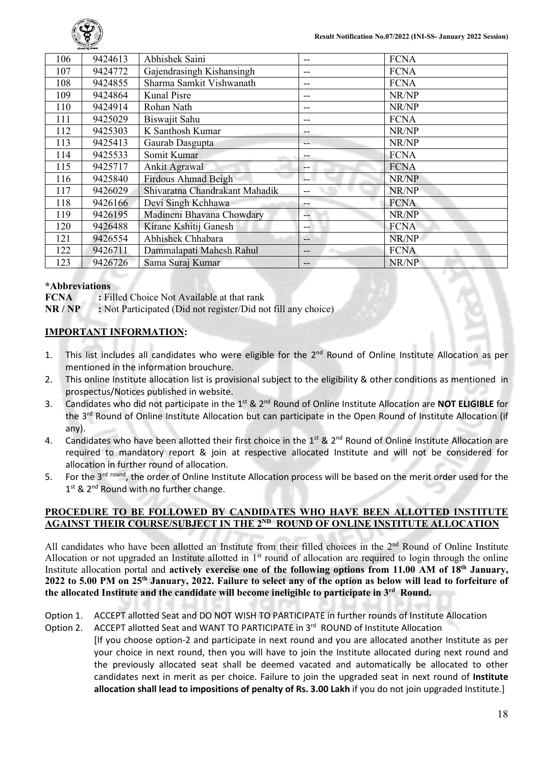

| 106 | 9424613 | Abhishek Saini                 | -- | <b>FCNA</b> |
|-----|---------|--------------------------------|----|-------------|
| 107 | 9424772 | Gajendrasingh Kishansingh      | -- | <b>FCNA</b> |
| 108 | 9424855 | Sharma Samkit Vishwanath       | -- | <b>FCNA</b> |
| 109 | 9424864 | Kunal Pisre                    | -- | NR/NP       |
| 110 | 9424914 | Rohan Nath                     | -- | NR/NP       |
| 111 | 9425029 | Biswajit Sahu                  | -- | <b>FCNA</b> |
| 112 | 9425303 | K Santhosh Kumar               | -- | NR/NP       |
| 113 | 9425413 | Gaurab Dasgupta                | -- | NR/NP       |
| 114 | 9425533 | Somit Kumar                    | -- | <b>FCNA</b> |
| 115 | 9425717 | Ankit Agrawal                  | -- | <b>FCNA</b> |
| 116 | 9425840 | <b>Firdous Ahmad Beigh</b>     | -- | NR/NP       |
| 117 | 9426029 | Shivaratna Chandrakant Mahadik | -- | NR/NP       |
| 118 | 9426166 | Devi Singh Kchhawa             | -- | <b>FCNA</b> |
| 119 | 9426195 | Madineni Bhavana Chowdary      | -- | NR/NP       |
| 120 | 9426488 | Kirane Kshitij Ganesh          | -- | <b>FCNA</b> |
| 121 | 9426554 | Abhishek Chhabara              | -- | NR/NP       |
| 122 | 9426711 | Dammalapati Mahesh Rahul       | -- | <b>FCNA</b> |
| 123 | 9426726 | Sama Suraj Kumar               | -- | NR/NP       |

#### **\*Abbreviations**

**FCNA :** Filled Choice Not Available at that rank

**NR / NP :** Not Participated (Did not register/Did not fill any choice)

### **IMPORTANT INFORMATION:**

- 1. This list includes all candidates who were eligible for the 2<sup>nd</sup> Round of Online Institute Allocation as per mentioned in the information brouchure.
- 2. This online Institute allocation list is provisional subject to the eligibility & other conditions as mentioned in prospectus/Notices published in website.
- 3. Candidates who did not participate in the 1st & 2nd Round of Online Institute Allocation are **NOT ELIGIBLE** for the 3<sup>rd</sup> Round of Online Institute Allocation but can participate in the Open Round of Institute Allocation (if any).
- 4. Candidates who have been allotted their first choice in the 1<sup>st</sup> & 2<sup>nd</sup> Round of Online Institute Allocation are required to mandatory report & join at respective allocated Institute and will not be considered for allocation in further round of allocation.
- 5. For the 3<sup>rd round</sup>, the order of Online Institute Allocation process will be based on the merit order used for the 1<sup>st</sup> & 2<sup>nd</sup> Round with no further change.

#### **PROCEDURE TO BE FOLLOWED BY CANDIDATES WHO HAVE BEEN ALLOTTED INSTITUTE AGAINST THEIR COURSE/SUBJECT IN THE 2ND ROUND OF ONLINE INSTITUTE ALLOCATION**

All candidates who have been allotted an Institute from their filled choices in the 2<sup>nd</sup> Round of Online Institute Allocation or not upgraded an Institute allotted in  $1<sup>st</sup>$  round of allocation are required to login through the online Institute allocation portal and **actively exercise one of the following options from 11.00 AM of 18<sup>th</sup> January, 2022 to 5.00 PM on 25th January, 2022. Failure to select any of the option as below will lead to forfeiture of the allocated Institute and the candidate will become ineligible to participate in 3rd Round.**

- Option 1. ACCEPT allotted Seat and DO NOT WISH TO PARTICIPATE in further rounds of Institute Allocation
- Option 2. ACCEPT allotted Seat and WANT TO PARTICIPATE in 3rd ROUND of Institute Allocation [If you choose option-2 and participate in next round and you are allocated another Institute as per your choice in next round, then you will have to join the Institute allocated during next round and the previously allocated seat shall be deemed vacated and automatically be allocated to other candidates next in merit as per choice. Failure to join the upgraded seat in next round of **Institute**

**allocation shall lead to impositions of penalty of Rs. 3.00 Lakh** if you do not join upgraded Institute.]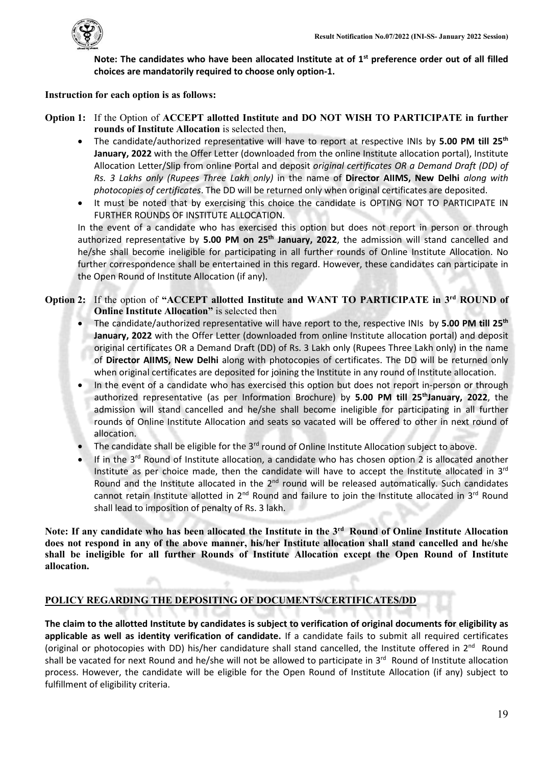

**Note: The candidates who have been allocated Institute at of 1st preference order out of all filled choices are mandatorily required to choose only option-1.**

### **Instruction for each option is as follows:**

- **Option 1:** If the Option of **ACCEPT allotted Institute and DO NOT WISH TO PARTICIPATE in further rounds of Institute Allocation** is selected then,
	- The candidate/authorized representative will have to report at respective INIs by **5.00 PM till 25th January, 2022** with the Offer Letter (downloaded from the online Institute allocation portal), Institute Allocation Letter/Slip from online Portal and deposit *original certificates OR a Demand Draft (DD) of Rs. 3 Lakhs only (Rupees Three Lakh only)* in the name of **Director AIIMS, New Delhi** *along with photocopies of certificates*. The DD will be returned only when original certificates are deposited.
	- It must be noted that by exercising this choice the candidate is OPTING NOT TO PARTICIPATE IN FURTHER ROUNDS OF INSTITUTE ALLOCATION.

In the event of a candidate who has exercised this option but does not report in person or through authorized representative by **5.00 PM on 25th January, 2022**, the admission will stand cancelled and he/she shall become ineligible for participating in all further rounds of Online Institute Allocation. No further correspondence shall be entertained in this regard. However, these candidates can participate in the Open Round of Institute Allocation (if any).

## **Option 2:** If the option of **"ACCEPT allotted Institute and WANT TO PARTICIPATE in 3rd ROUND of Online Institute Allocation**" is selected then

- The candidate/authorized representative will have report to the, respective INIs by **5.00 PM till 25th January, 2022** with the Offer Letter (downloaded from online Institute allocation portal) and deposit original certificates OR a Demand Draft (DD) of Rs. 3 Lakh only (Rupees Three Lakh only) in the name of **Director AIIMS, New Delhi** along with photocopies of certificates. The DD will be returned only when original certificates are deposited for joining the Institute in any round of Institute allocation.
- In the event of a candidate who has exercised this option but does not report in-person or through authorized representative (as per Information Brochure) by **5.00 PM till 25<sup>th</sup>January, 2022**, the admission will stand cancelled and he/she shall become ineligible for participating in all further rounds of Online Institute Allocation and seats so vacated will be offered to other in next round of allocation.
- The candidate shall be eligible for the 3<sup>rd</sup> round of Online Institute Allocation subject to above.
- If in the  $3^{rd}$  Round of Institute allocation, a candidate who has chosen option 2 is allocated another Institute as per choice made, then the candidate will have to accept the Institute allocated in  $3<sup>rd</sup>$ Round and the Institute allocated in the 2<sup>nd</sup> round will be released automatically. Such candidates cannot retain Institute allotted in 2<sup>nd</sup> Round and failure to join the Institute allocated in 3<sup>rd</sup> Round shall lead to imposition of penalty of Rs. 3 lakh.

**Note: If any candidate who has been allocated the Institute in the 3rd Round of Online Institute Allocation does not respond in any of the above manner, his/her Institute allocation shall stand cancelled and he/she shall be ineligible for all further Rounds of Institute Allocation except the Open Round of Institute allocation.**

# **POLICY REGARDING THE DEPOSITING OF DOCUMENTS/CERTIFICATES/DD**

**The claim to the allotted Institute by candidates is subject to verification of original documents for eligibility as applicable as well as identity verification of candidate.** If a candidate fails to submit all required certificates (original or photocopies with DD) his/her candidature shall stand cancelled, the Institute offered in  $2^{nd}$  Round shall be vacated for next Round and he/she will not be allowed to participate in 3<sup>rd</sup> Round of Institute allocation process. However, the candidate will be eligible for the Open Round of Institute Allocation (if any) subject to fulfillment of eligibility criteria.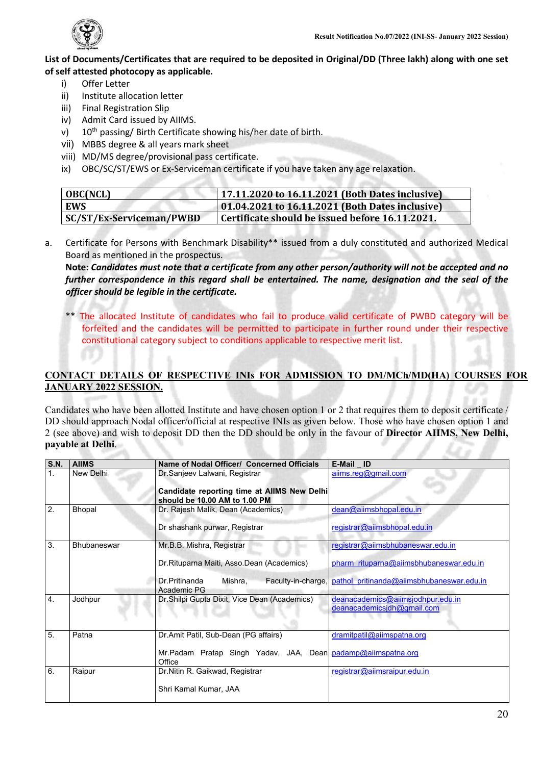

### **List of Documents/Certificates that are required to be deposited in Original/DD (Three lakh) along with one set of self attested photocopy as applicable.**

- i) Offer Letter<br>ii) Institute allo
- Institute allocation letter
- iii) Final Registration Slip
- iv) Admit Card issued by AIIMS.
- v) 10<sup>th</sup> passing/ Birth Certificate showing his/her date of birth.
- vii) MBBS degree & all years mark sheet
- viii) MD/MS degree/provisional pass certificate.
- ix) OBC/SC/ST/EWS or Ex-Serviceman certificate if you have taken any age relaxation.

| <b>OBC(NCL)</b>                 | 17.11.2020 to 16.11.2021 (Both Dates inclusive) |
|---------------------------------|-------------------------------------------------|
| <b>EWS</b>                      | 01.04.2021 to 16.11.2021 (Both Dates inclusive) |
| <b>SC/ST/Ex-Serviceman/PWBD</b> | Certificate should be issued before 16.11.2021. |

a. Certificate for Persons with Benchmark Disability\*\* issued from a duly constituted and authorized Medical Board as mentioned in the prospectus.

**Note:** *Candidates must note that a certificate from any other person/authority will not be accepted and no*  further correspondence in this regard shall be entertained. The name, designation and the seal of the *officer should be legible in the certificate.*

\*\* The allocated Institute of candidates who fail to produce valid certificate of PWBD category will be forfeited and the candidates will be permitted to participate in further round under their respective constitutional category subject to conditions applicable to respective merit list.

# **CONTACT DETAILS OF RESPECTIVE INIs FOR ADMISSION TO DM/MCh/MD(HA) COURSES FOR JANUARY 2022 SESSION.**

Candidates who have been allotted Institute and have chosen option 1 or 2 that requires them to deposit certificate / DD should approach Nodal officer/official at respective INIs as given below. Those who have chosen option 1 and 2 (see above) and wish to deposit DD then the DD should be only in the favour of **Director AIIMS, New Delhi, payable at Delhi**.

| <b>S.N.</b>    | <b>AIIMS</b>       | Name of Nodal Officer/ Concerned Officials                                                                     | E-Mail ID                                                                    |
|----------------|--------------------|----------------------------------------------------------------------------------------------------------------|------------------------------------------------------------------------------|
| 1 <sub>1</sub> | New Delhi          | Dr.Sanjeev Lalwani, Registrar<br>Candidate reporting time at AIIMS New Delhi<br>should be 10.00 AM to 1.00 PM  | aiims.reg@gmail.com                                                          |
| 2.             | Bhopal             | Dr. Rajesh Malik, Dean (Academics)<br>Dr shashank purwar, Registrar                                            | dean@aiimsbhopal.edu.in<br>registrar@aiimsbhopal.edu.in                      |
| 3.             | <b>Bhubaneswar</b> | Mr.B.B. Mishra, Registrar<br>Dr.Rituparna Maiti, Asso.Dean (Academics)                                         | registrar@aiimsbhubaneswar.edu.in<br>pharm rituparna@aiimsbhubaneswar.edu.in |
|                |                    | Mishra,<br>Dr.Pritinanda<br>Faculty-in-charge,<br>Academic PG                                                  | pathol pritinanda@aiimsbhubaneswar.edu.in                                    |
| 4.             | Jodhpur            | Dr.Shilpi Gupta Dixit, Vice Dean (Academics)                                                                   | deanacademics@aiimsjodhpur.edu.in<br>deanacademicsidh@gmail.com              |
| 5.             | Patna              | Dr.Amit Patil, Sub-Dean (PG affairs)<br>Mr.Padam Pratap Singh Yadav, JAA, Dean padamp@aiimspatna.org<br>Office | dramitpatil@aiimspatna.org                                                   |
| 6.             | Raipur             | Dr. Nitin R. Gaikwad, Registrar<br>Shri Kamal Kumar, JAA                                                       | registrar@aiimsraipur.edu.in                                                 |